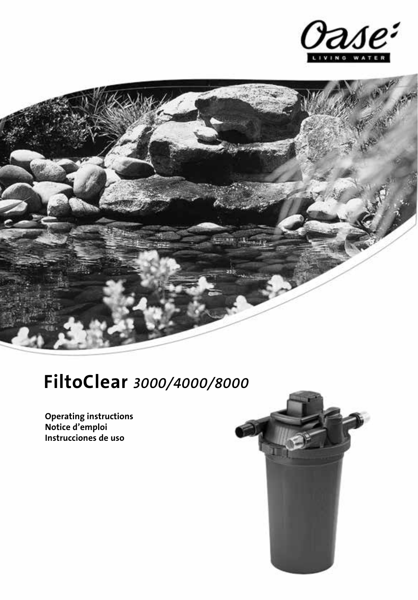



# FiltoClear *3000/4000/8000*

Operating instructions Notice d'emploi Instrucciones de uso

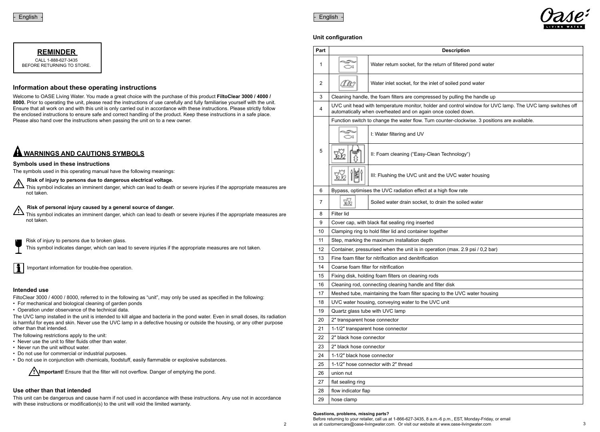

CALL 1-888-627-3435 BEFORE RETURNING TO STORE.

### **Information about these operating instructions**

Welcome to OASE Living Water. You made a great choice with the purchase of this product **FiltoClear 3000 / 4000 / 8000.** Prior to operating the unit, please read the instructions of use carefully and fully familiarise yourself with the unit. Ensure that all work on and with this unit is only carried out in accordance with these instructions. Please strictly follow the enclosed instructions to ensure safe and correct handling of the product. Keep these instructions in a safe place. Please also hand over the instructions when passing the unit on to a new owner.

# **WARNINGS AND CAUTIONS SYMBOLS**

### **Symbols used in these instructions**

The symbols used in this operating manual have the following meanings:

### **Risk of injury to persons due to dangerous electrical voltage.**

This symbol indicates an imminent danger, which can lead to death or severe injuries if the appropriate measures are not taken.

### **Risk of personal injury caused by a general source of danger.**

This symbol indicates an imminent danger, which can lead to death or severe injuries if the appropriate measures are not taken. **!**

### Risk of injury to persons due to broken glass.

This symbol indicates danger, which can lead to severe injuries if the appropriate measures are not taken.

Important information for trouble-free operation.

### **Intended use**

FiltoClear 3000 / 4000 / 8000, referred to in the following as "unit", may only be used as specified in the following:

- For mechanical and biological cleaning of garden ponds
- Operation under observance of the technical data.

The UVC lamp installed in the unit is intended to kill algae and bacteria in the pond water. Even in small doses, its radiation is harmful for eyes and skin. Never use the UVC lamp in a defective housing or outside the housing, or any other purpose other than that intended.

The following restrictions apply to the unit:

- Never use the unit to filter fluids other than water.
- Never run the unit without water.
- Do not use for commercial or industrial purposes.

• Do not use in conjunction with chemicals, foodstuff, easily flammable or explosive substances.

**Important!** Ensure that the filter will not overflow. Danger of emptying the pond. **!**

### **Use other than that intended**

This unit can be dangerous and cause harm if not used in accordance with these instructions. Any use not in accordance with these instructions or modification(s) to the unit will void the limited warranty.





### **Unit configuration**

| Part           | <b>Description</b>                                                        |                                                                                                                                                                           |  |  |  |  |  |  |
|----------------|---------------------------------------------------------------------------|---------------------------------------------------------------------------------------------------------------------------------------------------------------------------|--|--|--|--|--|--|
| 1              | Water return socket, for the return of filtered pond water                |                                                                                                                                                                           |  |  |  |  |  |  |
| 2              | (I R)                                                                     | Water inlet socket, for the inlet of soiled pond water                                                                                                                    |  |  |  |  |  |  |
| 3              |                                                                           | Cleaning handle, the foam filters are compressed by pulling the handle up                                                                                                 |  |  |  |  |  |  |
| 4              |                                                                           | UVC unit head with temperature monitor, holder and control window for UVC lamp. The UVC lamp switches off<br>automatically when overheated and on again once cooled down. |  |  |  |  |  |  |
|                |                                                                           | Function switch to change the water flow. Turn counter-clockwise. 3 positions are available.                                                                              |  |  |  |  |  |  |
|                | I: Water filtering and UV<br>⇔                                            |                                                                                                                                                                           |  |  |  |  |  |  |
| 5              |                                                                           | II: Foam cleaning ("Easy-Clean Technology")                                                                                                                               |  |  |  |  |  |  |
|                |                                                                           | III: Flushing the UVC unit and the UVC water housing                                                                                                                      |  |  |  |  |  |  |
| 6              |                                                                           | Bypass, optimises the UVC radiation effect at a high flow rate                                                                                                            |  |  |  |  |  |  |
| $\overline{7}$ | ŵ<br>Soiled water drain socket, to drain the soiled water                 |                                                                                                                                                                           |  |  |  |  |  |  |
| 8              | Filter lid                                                                |                                                                                                                                                                           |  |  |  |  |  |  |
| 9              | Cover cap, with black flat sealing ring inserted                          |                                                                                                                                                                           |  |  |  |  |  |  |
| 10             | Clamping ring to hold filter lid and container together                   |                                                                                                                                                                           |  |  |  |  |  |  |
| 11             | Step, marking the maximum installation depth                              |                                                                                                                                                                           |  |  |  |  |  |  |
| 12             |                                                                           | Container, pressurised when the unit is in operation (max. 2.9 psi / 0,2 bar)                                                                                             |  |  |  |  |  |  |
| 13             |                                                                           | Fine foam filter for nitrification and denitrification                                                                                                                    |  |  |  |  |  |  |
| 14             |                                                                           | Coarse foam filter for nitrification                                                                                                                                      |  |  |  |  |  |  |
| 15             | Fixing disk, holding foam filters on cleaning rods                        |                                                                                                                                                                           |  |  |  |  |  |  |
| 16             | Cleaning rod, connecting cleaning handle and filter disk                  |                                                                                                                                                                           |  |  |  |  |  |  |
| 17             | Meshed tube, maintaining the foam filter spacing to the UVC water housing |                                                                                                                                                                           |  |  |  |  |  |  |
| 18             | UVC water housing, conveying water to the UVC unit                        |                                                                                                                                                                           |  |  |  |  |  |  |
| 19             | Quartz glass tube with UVC lamp                                           |                                                                                                                                                                           |  |  |  |  |  |  |
| 20             | 2" transparent hose connector                                             |                                                                                                                                                                           |  |  |  |  |  |  |
| 21             | 1-1/2" transparent hose connector                                         |                                                                                                                                                                           |  |  |  |  |  |  |
| 22             | 2" black hose connector                                                   |                                                                                                                                                                           |  |  |  |  |  |  |
| 23             | 2" black hose connector                                                   |                                                                                                                                                                           |  |  |  |  |  |  |
| 24             | 1-1/2" black hose connector                                               |                                                                                                                                                                           |  |  |  |  |  |  |
| 25             | 1-1/2" hose connector with 2" thread                                      |                                                                                                                                                                           |  |  |  |  |  |  |
| 26             | union nut                                                                 |                                                                                                                                                                           |  |  |  |  |  |  |
| 27             | flat sealing ring                                                         |                                                                                                                                                                           |  |  |  |  |  |  |
| 28             | flow indicator flap                                                       |                                                                                                                                                                           |  |  |  |  |  |  |
| 29             | hose clamp                                                                |                                                                                                                                                                           |  |  |  |  |  |  |

**Questions, problems, missing parts?**  Before returning to your retailer, call us at 1-866-627-3435, 8 a.m.-6 p.m., EST, Monday-Friday, or email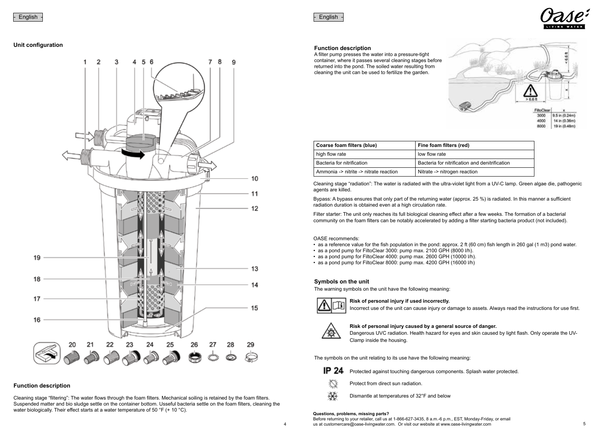**Unit configuration**



### **Function description**

Cleaning stage "filtering": The water flows through the foam filters. Mechanical soiling is retained by the foam filters. Suspended matter and bio sludge settle on the container bottom. Usseful bacteria settle on the foam filters, cleaning the water biologically. Their effect starts at a water temperature of 50 °F (+ 10 °C).

- English - - English -



### **Function description**

A filter pump presses the water into a pressure-tight container, where it passes several cleaning stages before returned into the pond. The soiled water resulting from cleaning the unit can be used to fertilize the garden.



| Coarse foam filters (blue)             | Fine foam filters (red)                        |  |  |
|----------------------------------------|------------------------------------------------|--|--|
| high flow rate                         | low flow rate                                  |  |  |
| Bacteria for nitrification             | Bacteria for nitrification and denitrification |  |  |
| Ammonia -> nitrite -> nitrate reaction | Nitrate -> nitrogen reaction                   |  |  |

Cleaning stage "radiation": The water is radiated with the ultra-violet light from a UV-C lamp. Green algae die, pathogenic agents are killed.

Bypass: A bypass ensures that only part of the returning water (approx. 25 %) is radiated. In this manner a sufficient radiation duration is obtained even at a high circulation rate.

Filter starter: The unit only reaches its full biological cleaning effect after a few weeks. The formation of a bacterial community on the foam filters can be notably accelerated by adding a filter starting bacteria product (not included).

OASE recommends:

- as a reference value for the fish population in the pond: approx. 2 ft (60 cm) fish length in 260 gal (1 m3) pond water.
- as a pond pump for FiltoClear 3000: pump max. 2100 GPH (8000 l/h).
- as a pond pump for FiltoClear 4000: pump max. 2600 GPH (10000 l/h).
- as a pond pump for FiltoClear 8000: pump max. 4200 GPH (16000 l/h)

### **Symbols on the unit**

The warning symbols on the unit have the following meaning:



**Risk of personal injury if used incorrectly.**

Incorrect use of the unit can cause injury or damage to assets. Always read the instructions for use first.



**Risk of personal injury caused by a general source of danger.**

Dangerous UVC radiation. Health hazard for eyes and skin caused by light flash. Only operate the UV-Clamp inside the housing.

The symbols on the unit relating to its use have the following meaning:



- 
- Ŋ Protect from direct sun radiation.
- 弹 Dismantle at temperatures of 32°F and below

### **Questions, problems, missing parts?**

Before returning to your retailer, call us at 1-866-627-3435, 8 a.m.-6 p.m., EST, Monday-Friday, or email 4 us at customercare@oase-livingwater.com. Or visit our website at www.oase-livingwater.com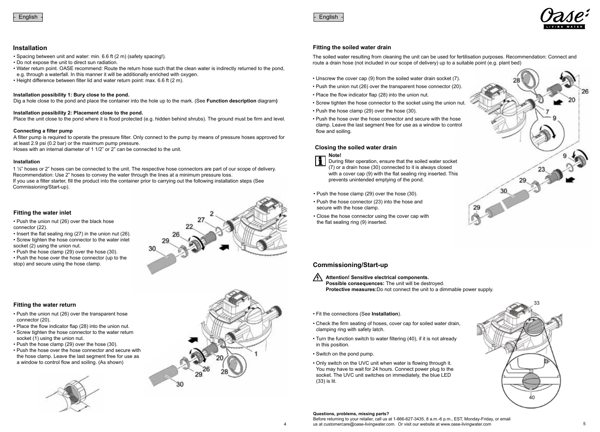### **Installation**

- Spacing between unit and water: min. 6.6 ft (2 m) (safety spacing!).
- Do not expose the unit to direct sun radiation.
- Water return point. OASE recommend: Route the return hose such that the clean water is indirectly returned to the pond, e.g. through a waterfall. In this manner it will be additionally enriched with oxygen.
- Height difference between filter lid and water return point: max. 6.6 ft (2 m).

### **Installation possibility 1: Bury close to the pond.**

Dig a hole close to the pond and place the container into the hole up to the mark. (See **Function description** diagram**)**

### **Installation possibility 2: Placement close to the pond.**

Place the unit close to the pond where it is flood protected (e.g. hidden behind shrubs). The ground must be firm and level.

### **Connecting a filter pump**

A filter pump is required to operate the pressure filter. Only connect to the pump by means of pressure hoses approved for at least 2.9 psi (0.2 bar) or the maximum pump pressure.

Hoses with an internal diameter of 1 1/2" or 2" can be connected to the unit.

### **Installation**

1 ½" hoses or 2" hoses can be connected to the unit. The respective hose connectors are part of our scope of delivery. Recommendation: Use 2" hoses to convey the water through the lines at a minimum pressure loss. If you use a filter starter, fill the product into the container prior to carrying out the following installation steps (See Commissioning/Start-up).

### **Fitting the water inlet**

• Push the union nut (26) over the black hose connector (22).

- Insert the flat sealing ring (27) in the union nut (26). • Screw tighten the hose connector to the water inlet
- socket (2) using the union nut.
- Push the hose clamp (29) over the hose (30).
- Push the hose over the hose connector (up to the stop) and secure using the hose clamp.



### **Fitting the water return**

- Push the union nut (26) over the transparent hose connector (20).
- Place the flow indicator flap (28) into the union nut. • Screw tighten the hose connector to the water return socket (1) using the union nut.
- Push the hose clamp (29) over the hose (30).
- Push the hose over the hose connector and secure with the hose clamp. Leave the last segment free for use as a window to control flow and soiling. (As shown)





### **Fitting the soiled water drain**

The soiled water resulting from cleaning the unit can be used for fertilisation purposes. Recommendation: Connect and route a drain hose (not included in our scope of delivery) up to a suitable point (e.g. plant bed)

- Unscrew the cover cap (9) from the soiled water drain socket (7).
- Push the union nut (26) over the transparent hose connector (20).
- Place the flow indicator flap (28) into the union nut.
- Screw tighten the hose connector to the socket using the union nut.
- Push the hose clamp (29) over the hose (30).
- Push the hose over the hose connector and secure with the hose clamp. Leave the last segment free for use as a window to control flow and soiling.

### **Closing the soiled water drain**



During filter operation, ensure that the soiled water socket (7) or a drain hose (30) connected to it is always closed with a cover cap (9) with the flat sealing ring inserted. This prevents unintended emptying of the pond.

• Push the hose clamp (29) over the hose (30).

- Push the hose connector (23) into the hose and secure with the hose clamp.
- Close the hose connector using the cover cap with the flat sealing ring (9) inserted.

### **Commissioning/Start-up**

- **Attention! Sensitive electrical components. Possible consequences:** The unit will be destroyed. **Protective measures:** Do not connect the unit to a dimmable power supply.
- Fit the connections (See **Installation**).
- Check the firm seating of hoses, cover cap for soiled water drain, clamping ring with safety latch.
- Turn the function switch to water filtering (40), if it is not already in this position.
- Switch on the pond pump.
- Only switch on the UVC unit when water is flowing through it. You may have to wait for 24 hours. Connect power plug to the socket. The UVC unit switches on immediately, the blue LED (33) is lit.



### **Questions, problems, missing parts?**

Before returning to your retailer, call us at 1-866-627-3435, 8 a.m.-6 p.m., EST, Monday-Friday, or email 4 us at customercare@oase-livingwater.com. Or visit our website at www.oase-livingwater.com





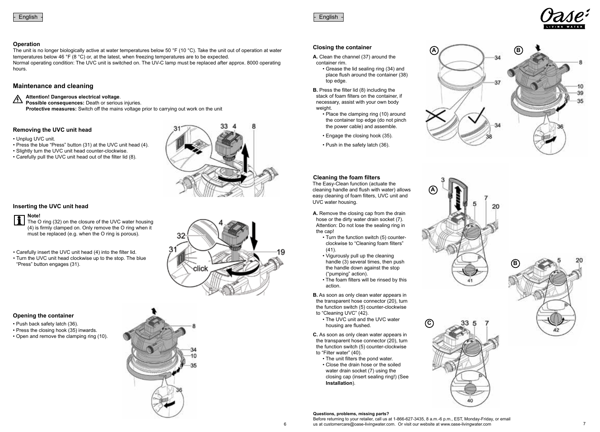### **Operation**

The unit is no longer biologically active at water temperatures below 50 °F (10 °C). Take the unit out of operation at water temperatures below 46 °F (8 °C) or, at the latest, when freezing temperatures are to be expected. Normal operating condition: The UVC unit is switched on. The UV-C lamp must be replaced after approx. 8000 operating hours.

### **Maintenance and cleaning**

- **Attention! Dangerous electrical voltage** .
- **Possible consequences:** Death or serious injuries. **Protective measures:** Switch off the mains voltage prior to carrying out work on the unit

### **Removing the UVC unit head**

- 
- Unplug UVC unit.<br>• Press the blue "Press" button (31) at the UVC unit head (4).
- Slightly turn the UVC unit head counter-clockwise.<br>• Carefully pull the UVC unit head out of the filter lid (8).
- 



### **Inserting the UVC unit head**



- The O ring (32) on the closure of the UVC water housing (4) is firmly clamped on. Only remove the O ring when it must be replaced (e.g. when the O ring is porous).
- Carefully insert the UVC unit head (4) into the filter lid. Turn the UVC unit head clockwise up to the stop. The blue
- "Press" button engages (31).

### **Opening the container**

- 
- 
- Push back safety latch (36). Press the closing hook (35) inwards. Open and remove the clamping ring (10).



١ñ

### **Closing the container**

- **A.** Clean the channel (37) around the container rim.
	- Grease the lid sealing ring (34) and place flush around the container (38) top edge.
- **B.** Press the filter lid (8) including the stack of foam filters on the container, if necessary, assist with your own body
	- $\cdot$  Place the clamping ring (10) around the container top edge (do not pinch the power cable) and assemble.
	- Engage the closing hook (35). Push in the safety latch (36).
	-

### **Cleaning the foam filters**

The Easy-Clean function (actuate the cleaning handle and flush with water) allows easy cleaning of foam filters, UVC unit and UVC water housing.

- **A.** Remove the closing cap from the drain hose or the dirty water drain socket (7). Attention: Do not lose the sealing ring in the cap!
	- $\cdot$  Turn the function switch (5) counterclockwise to "Cleaning foam filters" (41).
	- Vigurously pull up the cleaning handle (3) several times, then push the handle down against the stop ("pumping" action).
	- The foam filters will be rinsed by this action.

**B.** As soon as only clean water appears in the transparent hose connector (20), turn the function switch (5) counter-clockwise to "Cleaning UVC" (42).

• The UVC unit and the UVC water housing are flushed.

**C.** As soon as only clean water appears in the transparent hose connector (20), turn the function switch (5) counter-clockwise to "Filter water" (40).<br>• The unit filters the pond water.

• Close the drain hose or the soiled water drain socket (7) using the closing cap (insert sealing ring!) (See **Installation**).







7

### **Questions, problems, missing parts?**

Before returning to your retailer, call us at 1-866-627-3435, 8 a.m.-6 p.m., EST, Monday-Friday, or email 6 us at customercare@oase-livingwater.com. Or visit our website at www.oase-livingwater.com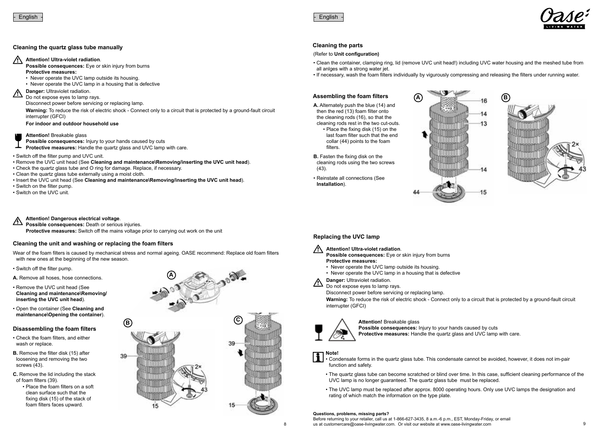### **Cleaning the quartz glass tube manually**

### **Attention! Ultra-violet radiation**. **!**

**Possible consequences:** Eve or skin injury from burns

- **Protective measures:**
- Never operate the UVC lamp outside its housing.
- Never operate the UVC lamp in a housing that is defective
- **Danger: Ultraviolet radiation. !**

Do not expose eyes to lamp rays.

Disconnect power before servicing or replacing lamp.

Warning: To reduce the risk of electric shock - Connect only to a circuit that is protected by a ground-fault circuit interrupter (GFCI)

### **For indoor and outdoor household use**

### **Attention!** Breakable glass

- **Possible consequences:** Injury to your hands caused by cuts
- **Protective measures:** Handle the quartz glass and UVC lamp with care.
- Switch off the filter pump and UVC unit.
- Remove the UVC unit head (See **Cleaning and maintenance\Removing/inserting the UVC unit head**).
- Check the quartz glass tube and O ring for damage. Replace, if necessary.
- Clean the quartz glass tube externally using a moist cloth.
- Insert the UVC unit head (See **Cleaning and maintenance\Removing/inserting the UVC unit head**).
- Switch on the filter pump.
- Switch on the UVC unit.

### **Attention! Dangerous electrical voltage**.

**Possible consequences:** Death or serious injuries.

**Protective measures:** Switch off the mains voltage prior to carrying out work on the unit

### **Cleaning the unit and washing or replacing the foam filters**

Wear of the foam filters is caused by mechanical stress and normal ageing. OASE recommend: Replace old foam filters with new ones at the beginning of the new season.

• Switch off the filter pump.

- **A.** Remove all hoses, hose connections.
- Remove the UVC unit head (See **Cleaning and maintenance\Removing/ inserting the UVC unit head**).
- Open the container (See **Cleaning and maintenance\Opening the container**).

### **Disassembling the foam filters**

- Check the foam filters, and either wash or replace.
- **B.** Remove the filter disk (15) after loosening and removing the two screws (43).
- **C.** Remove the lid including the stack of foam filters (39).
	- Place the foam filters on a soft clean surface such that the fixing disk (15) of the stack of foam filters faces upward.







### **Cleaning the parts**

### (Refer to **Unit configuration)**

• Clean the container, clamping ring, lid (remove UVC unit head!) including UVC water housing and the meshed tube from all anlges with a strong water jet.

• If necessary, wash the foam filters individually by vigurously compressing and releasing the filters under running water.

### **Assembling the foam filters**

**A.** Alternately push the blue (14) and then the red (13) foam filter onto the cleaning rods (16), so that the cleaning rods rest in the two cut-outs. • Place the fixing disk (15) on the last foam filter such that the end collar (44) points to the foam filters.

- **B.** Fasten the fixing disk on the cleaning rods using the two screws (43).
- Reinstate all connections (See **Installation**).





### **Replacing the UVC lamp**

### **Attention! Ultra-violet radiation**. **!**

- **Possible consequences:** Eye or skin injury from burns **Protective measures:**
- Never operate the UVC lamp outside its housing.
- Never operate the UVC lamp in a housing that is defective

### **Danger:** Ultraviolet radiation. **!**

Do not expose eyes to lamp rays.

Disconnect power before servicing or replacing lamp.

**Warning:** To reduce the risk of electric shock - Connect only to a circuit that is protected by a ground-fault circuit interrupter (GFCI)



### **Attention!** Breakable glass

**Possible consequences:** Injury to your hands caused by cuts **Protective measures:** Handle the quartz glass and UVC lamp with care.

### **Note!**

- Condensate forms in the quartz glass tube. This condensate cannot be avoided, however, it does not im-pair function and safety.
- The quartz glass tube can become scratched or blind over time. In this case, sufficient cleaning performance of the UVC lamp is no longer guaranteed. The quartz glass tube must be replaced.
- The UVC lamp must be replaced after approx. 8000 operating hours. Only use UVC lamps the designation and rating of which match the information on the type plate.

### **Questions, problems, missing parts?**

Before returning to your retailer, call us at 1-866-627-3435, 8 a.m.-6 p.m., EST, Monday-Friday, or email 8 us at customercare@oase-livingwater.com. Or visit our website at www.oase-livingwater.com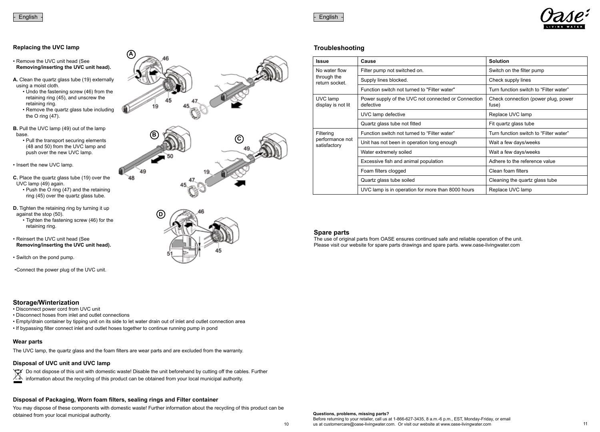- English - - English -

No water flow through the return socket.

**Troubleshooting**

UVC lamp display is not lit

Filtering performance not satisfactory

defective



Check connection (power plug, power

### **Replacing the UVC lamp**

- Remove the UVC unit head (See **Removing/inserting the UVC unit head).**
- **A.** Clean the quartz glass tube (19) externally using a moist cloth.
	- Undo the fastening screw (46) from the retaining ring (45), and unscrew the retaining ring.
	- Remove the quartz glass tube including the O ring (47).

**B.** Pull the UVC lamp (49) out of the lamp base.

• Pull the transport securing elements (48 and 50) from the UVC lamp and push over the new UVC lamp.

• Insert the new UVC lamp.

- **C.** Place the quartz glass tube (19) over the UVC lamp (49) again. • Push the O ring (47) and the retaining ring (45) over the quartz glass tube.
- **D.** Tighten the retaining ring by turning it up against the stop (50).
- Tighten the fastening screw (46) for the retaining ring.

• Reinsert the UVC unit head (See **Removing/inserting the UVC unit head).**

• Switch on the pond pump.

•Connect the power plug of the UVC unit.

### **Storage/Winterization**

- Disconnect power cord from UVC unit
- Disconnect hoses from inlet and outlet connections
- Empty/drain container by tipping unit on its side to let water drain out of inlet and outlet connection area

**A**

• If bypassing filter connect inlet and outlet hoses together to continue running pump in pond

### **Wear parts**

The UVC lamp, the quartz glass and the foam filters are wear parts and are excluded from the warranty.

### **Disposal of UVC unit and UVC lamp**

 $\cancel{\nabla}$ Do not dispose of this unit with domestic waste! Disable the unit beforehand by cutting off the cables. Further information about the recycling of this product can be obtained from your local municipal authority.

## **Disposal of Packaging, Worn foam filters, sealing rings and Filter container**

You may dispose of these components with domestic waste! Further information about the recycling of this product can be obtained from your local municipal authority.







|    | Questions, problems, missing parts?                                                                       |
|----|-----------------------------------------------------------------------------------------------------------|
|    | Before returning to your retailer, call us at 1-866-627-3435, 8 a.m.-6 p.m., EST, Monday-Friday, or email |
| 10 | us at customercare@oase-livingwater.com. Or visit our website at www.oase-livingwater.com                 |

### **Spare parts**

The use of original parts from OASE ensures continued safe and reliable operation of the unit. Please visit our website for spare parts drawings and spare parts. www.oase-livingwater.com

**Issue Cause Solution**

Power supply of the UVC not connected or Connection

Filter pump not switched on. Switch on the filter pump Supply lines blocked. Check supply lines

UVC lamp defective and a set of the Replace UVC lamp Quartz glass tube not fitted Fit quartz glass tube

Unit has not been in operation long enough Wait a few days/weeks Water extremely soiled Water Solid Wait a few days/weeks Excessive fish and animal population **Adhere to the reference value** 

Foam filters clogged Clean foam filters

UVC lamp is in operation for more than 8000 hours  $\Box$  Replace UVC lamp

Function switch not turned to "Filter water" Turn function switch to "Filter water"

Function switch not turned to "Filter water" Turn function switch to "Filter water"

Quartz glass tube soiled **Cleaning the quartz glass tube** 

fuse)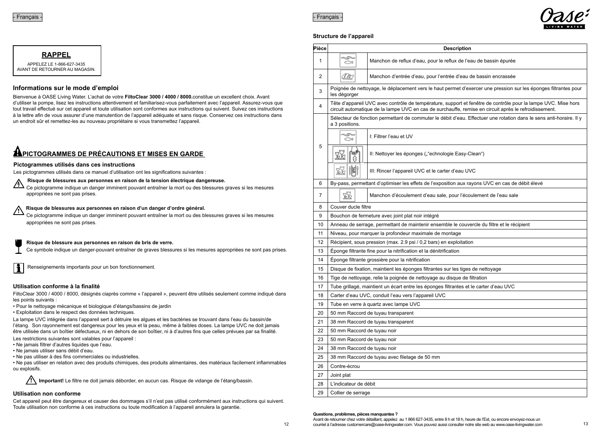



### **Structure de l'appareil**

| ∽<br>Manchon de reflux d'eau, pour le reflux de l'eau de bassin épurée<br>1<br>a<br>$\overline{2}$<br>Œ<br>Manchon d'entrée d'eau, pour l'entrée d'eau de bassin encrassée<br>Poignée de nettoyage, le déplacement vers le haut permet d'exercer une pression sur les éponges filtrantes pour<br>3<br>les dégorger<br>Tête d'appareil UVC avec contrôle de température, support et fenêtre de contrôle pour la lampe UVC. Mise hors<br>4<br>circuit automatique de la lampe UVC en cas de surchauffe, remise en circuit après le refroidissement.<br>Sélecteur de fonction permettant de commuter le débit d'eau. Effectuer une rotation dans le sens anti-horaire. Il y<br>a 3 positions.<br>I: Filtrer l'eau et UV<br>⇔<br>5<br>II: Nettoyer les éponges (""echnologie Easy-Clean")<br>III: Rincer l'appareil UVC et le carter d'eau UVC<br>6<br>By-pass, permettant d'optimiser les effets de l'exposition aux rayons UVC en cas de débit élevé<br>$\overline{7}$<br>W<br>Manchon d'écoulement d'eau sale, pour l'écoulement de l'eau sale<br>Couver ducle filtre<br>8<br>9<br>Bouchon de fermeture avec joint plat noir intégré<br>10<br>Anneau de serrage, permettant de maintenir ensemble le couvercle du filtre et le récipient<br>11<br>Niveau, pour marquer la profondeur maximale de montage<br>12<br>Récipient, sous pression (max. 2.9 psi / 0,2 bars) en exploitation<br>13<br>Éponge filtrante fine pour la nitrification et la dénitrification<br>14<br>Éponge filtrante grossière pour la nitrification<br>15<br>Disque de fixation, maintient les éponges filtrantes sur les tiges de nettoyage<br>16<br>Tige de nettoyage, relie la poignée de nettoyage au disque de filtration<br>17<br>Tube grillagé, maintient un écart entre les éponges filtrantes et le carter d'eau UVC<br>18<br>Carter d'eau UVC, conduit l'eau vers l'appareil UVC<br>19<br>Tube en verre à quartz avec lampe UVC<br>20<br>50 mm Raccord de tuyau transparent<br>21<br>38 mm Raccord de tuyau transparent<br>22<br>50 mm Raccord de tuyau noir<br>23<br>50 mm Raccord de tuyau noir<br>24<br>38 mm Raccord de tuyau noir<br>25<br>38 mm Raccord de tuyau avec filetage de 50 mm<br>26<br>Contre-écrou<br>27<br>Joint plat<br>28<br>L'indicateur de débit<br>29<br>Collier de serrage | Pièce |  | <b>Description</b> |  |  |  |  |  |
|-----------------------------------------------------------------------------------------------------------------------------------------------------------------------------------------------------------------------------------------------------------------------------------------------------------------------------------------------------------------------------------------------------------------------------------------------------------------------------------------------------------------------------------------------------------------------------------------------------------------------------------------------------------------------------------------------------------------------------------------------------------------------------------------------------------------------------------------------------------------------------------------------------------------------------------------------------------------------------------------------------------------------------------------------------------------------------------------------------------------------------------------------------------------------------------------------------------------------------------------------------------------------------------------------------------------------------------------------------------------------------------------------------------------------------------------------------------------------------------------------------------------------------------------------------------------------------------------------------------------------------------------------------------------------------------------------------------------------------------------------------------------------------------------------------------------------------------------------------------------------------------------------------------------------------------------------------------------------------------------------------------------------------------------------------------------------------------------------------------------------------------------------------------------------------------------------------------------------------------------------------------------------------------|-------|--|--------------------|--|--|--|--|--|
|                                                                                                                                                                                                                                                                                                                                                                                                                                                                                                                                                                                                                                                                                                                                                                                                                                                                                                                                                                                                                                                                                                                                                                                                                                                                                                                                                                                                                                                                                                                                                                                                                                                                                                                                                                                                                                                                                                                                                                                                                                                                                                                                                                                                                                                                                   |       |  |                    |  |  |  |  |  |
|                                                                                                                                                                                                                                                                                                                                                                                                                                                                                                                                                                                                                                                                                                                                                                                                                                                                                                                                                                                                                                                                                                                                                                                                                                                                                                                                                                                                                                                                                                                                                                                                                                                                                                                                                                                                                                                                                                                                                                                                                                                                                                                                                                                                                                                                                   |       |  |                    |  |  |  |  |  |
|                                                                                                                                                                                                                                                                                                                                                                                                                                                                                                                                                                                                                                                                                                                                                                                                                                                                                                                                                                                                                                                                                                                                                                                                                                                                                                                                                                                                                                                                                                                                                                                                                                                                                                                                                                                                                                                                                                                                                                                                                                                                                                                                                                                                                                                                                   |       |  |                    |  |  |  |  |  |
|                                                                                                                                                                                                                                                                                                                                                                                                                                                                                                                                                                                                                                                                                                                                                                                                                                                                                                                                                                                                                                                                                                                                                                                                                                                                                                                                                                                                                                                                                                                                                                                                                                                                                                                                                                                                                                                                                                                                                                                                                                                                                                                                                                                                                                                                                   |       |  |                    |  |  |  |  |  |
|                                                                                                                                                                                                                                                                                                                                                                                                                                                                                                                                                                                                                                                                                                                                                                                                                                                                                                                                                                                                                                                                                                                                                                                                                                                                                                                                                                                                                                                                                                                                                                                                                                                                                                                                                                                                                                                                                                                                                                                                                                                                                                                                                                                                                                                                                   |       |  |                    |  |  |  |  |  |
|                                                                                                                                                                                                                                                                                                                                                                                                                                                                                                                                                                                                                                                                                                                                                                                                                                                                                                                                                                                                                                                                                                                                                                                                                                                                                                                                                                                                                                                                                                                                                                                                                                                                                                                                                                                                                                                                                                                                                                                                                                                                                                                                                                                                                                                                                   |       |  |                    |  |  |  |  |  |
|                                                                                                                                                                                                                                                                                                                                                                                                                                                                                                                                                                                                                                                                                                                                                                                                                                                                                                                                                                                                                                                                                                                                                                                                                                                                                                                                                                                                                                                                                                                                                                                                                                                                                                                                                                                                                                                                                                                                                                                                                                                                                                                                                                                                                                                                                   |       |  |                    |  |  |  |  |  |
|                                                                                                                                                                                                                                                                                                                                                                                                                                                                                                                                                                                                                                                                                                                                                                                                                                                                                                                                                                                                                                                                                                                                                                                                                                                                                                                                                                                                                                                                                                                                                                                                                                                                                                                                                                                                                                                                                                                                                                                                                                                                                                                                                                                                                                                                                   |       |  |                    |  |  |  |  |  |
|                                                                                                                                                                                                                                                                                                                                                                                                                                                                                                                                                                                                                                                                                                                                                                                                                                                                                                                                                                                                                                                                                                                                                                                                                                                                                                                                                                                                                                                                                                                                                                                                                                                                                                                                                                                                                                                                                                                                                                                                                                                                                                                                                                                                                                                                                   |       |  |                    |  |  |  |  |  |
|                                                                                                                                                                                                                                                                                                                                                                                                                                                                                                                                                                                                                                                                                                                                                                                                                                                                                                                                                                                                                                                                                                                                                                                                                                                                                                                                                                                                                                                                                                                                                                                                                                                                                                                                                                                                                                                                                                                                                                                                                                                                                                                                                                                                                                                                                   |       |  |                    |  |  |  |  |  |
|                                                                                                                                                                                                                                                                                                                                                                                                                                                                                                                                                                                                                                                                                                                                                                                                                                                                                                                                                                                                                                                                                                                                                                                                                                                                                                                                                                                                                                                                                                                                                                                                                                                                                                                                                                                                                                                                                                                                                                                                                                                                                                                                                                                                                                                                                   |       |  |                    |  |  |  |  |  |
|                                                                                                                                                                                                                                                                                                                                                                                                                                                                                                                                                                                                                                                                                                                                                                                                                                                                                                                                                                                                                                                                                                                                                                                                                                                                                                                                                                                                                                                                                                                                                                                                                                                                                                                                                                                                                                                                                                                                                                                                                                                                                                                                                                                                                                                                                   |       |  |                    |  |  |  |  |  |
|                                                                                                                                                                                                                                                                                                                                                                                                                                                                                                                                                                                                                                                                                                                                                                                                                                                                                                                                                                                                                                                                                                                                                                                                                                                                                                                                                                                                                                                                                                                                                                                                                                                                                                                                                                                                                                                                                                                                                                                                                                                                                                                                                                                                                                                                                   |       |  |                    |  |  |  |  |  |
|                                                                                                                                                                                                                                                                                                                                                                                                                                                                                                                                                                                                                                                                                                                                                                                                                                                                                                                                                                                                                                                                                                                                                                                                                                                                                                                                                                                                                                                                                                                                                                                                                                                                                                                                                                                                                                                                                                                                                                                                                                                                                                                                                                                                                                                                                   |       |  |                    |  |  |  |  |  |
|                                                                                                                                                                                                                                                                                                                                                                                                                                                                                                                                                                                                                                                                                                                                                                                                                                                                                                                                                                                                                                                                                                                                                                                                                                                                                                                                                                                                                                                                                                                                                                                                                                                                                                                                                                                                                                                                                                                                                                                                                                                                                                                                                                                                                                                                                   |       |  |                    |  |  |  |  |  |
|                                                                                                                                                                                                                                                                                                                                                                                                                                                                                                                                                                                                                                                                                                                                                                                                                                                                                                                                                                                                                                                                                                                                                                                                                                                                                                                                                                                                                                                                                                                                                                                                                                                                                                                                                                                                                                                                                                                                                                                                                                                                                                                                                                                                                                                                                   |       |  |                    |  |  |  |  |  |
|                                                                                                                                                                                                                                                                                                                                                                                                                                                                                                                                                                                                                                                                                                                                                                                                                                                                                                                                                                                                                                                                                                                                                                                                                                                                                                                                                                                                                                                                                                                                                                                                                                                                                                                                                                                                                                                                                                                                                                                                                                                                                                                                                                                                                                                                                   |       |  |                    |  |  |  |  |  |
|                                                                                                                                                                                                                                                                                                                                                                                                                                                                                                                                                                                                                                                                                                                                                                                                                                                                                                                                                                                                                                                                                                                                                                                                                                                                                                                                                                                                                                                                                                                                                                                                                                                                                                                                                                                                                                                                                                                                                                                                                                                                                                                                                                                                                                                                                   |       |  |                    |  |  |  |  |  |
|                                                                                                                                                                                                                                                                                                                                                                                                                                                                                                                                                                                                                                                                                                                                                                                                                                                                                                                                                                                                                                                                                                                                                                                                                                                                                                                                                                                                                                                                                                                                                                                                                                                                                                                                                                                                                                                                                                                                                                                                                                                                                                                                                                                                                                                                                   |       |  |                    |  |  |  |  |  |
|                                                                                                                                                                                                                                                                                                                                                                                                                                                                                                                                                                                                                                                                                                                                                                                                                                                                                                                                                                                                                                                                                                                                                                                                                                                                                                                                                                                                                                                                                                                                                                                                                                                                                                                                                                                                                                                                                                                                                                                                                                                                                                                                                                                                                                                                                   |       |  |                    |  |  |  |  |  |
|                                                                                                                                                                                                                                                                                                                                                                                                                                                                                                                                                                                                                                                                                                                                                                                                                                                                                                                                                                                                                                                                                                                                                                                                                                                                                                                                                                                                                                                                                                                                                                                                                                                                                                                                                                                                                                                                                                                                                                                                                                                                                                                                                                                                                                                                                   |       |  |                    |  |  |  |  |  |
|                                                                                                                                                                                                                                                                                                                                                                                                                                                                                                                                                                                                                                                                                                                                                                                                                                                                                                                                                                                                                                                                                                                                                                                                                                                                                                                                                                                                                                                                                                                                                                                                                                                                                                                                                                                                                                                                                                                                                                                                                                                                                                                                                                                                                                                                                   |       |  |                    |  |  |  |  |  |
|                                                                                                                                                                                                                                                                                                                                                                                                                                                                                                                                                                                                                                                                                                                                                                                                                                                                                                                                                                                                                                                                                                                                                                                                                                                                                                                                                                                                                                                                                                                                                                                                                                                                                                                                                                                                                                                                                                                                                                                                                                                                                                                                                                                                                                                                                   |       |  |                    |  |  |  |  |  |
|                                                                                                                                                                                                                                                                                                                                                                                                                                                                                                                                                                                                                                                                                                                                                                                                                                                                                                                                                                                                                                                                                                                                                                                                                                                                                                                                                                                                                                                                                                                                                                                                                                                                                                                                                                                                                                                                                                                                                                                                                                                                                                                                                                                                                                                                                   |       |  |                    |  |  |  |  |  |
|                                                                                                                                                                                                                                                                                                                                                                                                                                                                                                                                                                                                                                                                                                                                                                                                                                                                                                                                                                                                                                                                                                                                                                                                                                                                                                                                                                                                                                                                                                                                                                                                                                                                                                                                                                                                                                                                                                                                                                                                                                                                                                                                                                                                                                                                                   |       |  |                    |  |  |  |  |  |
|                                                                                                                                                                                                                                                                                                                                                                                                                                                                                                                                                                                                                                                                                                                                                                                                                                                                                                                                                                                                                                                                                                                                                                                                                                                                                                                                                                                                                                                                                                                                                                                                                                                                                                                                                                                                                                                                                                                                                                                                                                                                                                                                                                                                                                                                                   |       |  |                    |  |  |  |  |  |
|                                                                                                                                                                                                                                                                                                                                                                                                                                                                                                                                                                                                                                                                                                                                                                                                                                                                                                                                                                                                                                                                                                                                                                                                                                                                                                                                                                                                                                                                                                                                                                                                                                                                                                                                                                                                                                                                                                                                                                                                                                                                                                                                                                                                                                                                                   |       |  |                    |  |  |  |  |  |
|                                                                                                                                                                                                                                                                                                                                                                                                                                                                                                                                                                                                                                                                                                                                                                                                                                                                                                                                                                                                                                                                                                                                                                                                                                                                                                                                                                                                                                                                                                                                                                                                                                                                                                                                                                                                                                                                                                                                                                                                                                                                                                                                                                                                                                                                                   |       |  |                    |  |  |  |  |  |
|                                                                                                                                                                                                                                                                                                                                                                                                                                                                                                                                                                                                                                                                                                                                                                                                                                                                                                                                                                                                                                                                                                                                                                                                                                                                                                                                                                                                                                                                                                                                                                                                                                                                                                                                                                                                                                                                                                                                                                                                                                                                                                                                                                                                                                                                                   |       |  |                    |  |  |  |  |  |
|                                                                                                                                                                                                                                                                                                                                                                                                                                                                                                                                                                                                                                                                                                                                                                                                                                                                                                                                                                                                                                                                                                                                                                                                                                                                                                                                                                                                                                                                                                                                                                                                                                                                                                                                                                                                                                                                                                                                                                                                                                                                                                                                                                                                                                                                                   |       |  |                    |  |  |  |  |  |
|                                                                                                                                                                                                                                                                                                                                                                                                                                                                                                                                                                                                                                                                                                                                                                                                                                                                                                                                                                                                                                                                                                                                                                                                                                                                                                                                                                                                                                                                                                                                                                                                                                                                                                                                                                                                                                                                                                                                                                                                                                                                                                                                                                                                                                                                                   |       |  |                    |  |  |  |  |  |
|                                                                                                                                                                                                                                                                                                                                                                                                                                                                                                                                                                                                                                                                                                                                                                                                                                                                                                                                                                                                                                                                                                                                                                                                                                                                                                                                                                                                                                                                                                                                                                                                                                                                                                                                                                                                                                                                                                                                                                                                                                                                                                                                                                                                                                                                                   |       |  |                    |  |  |  |  |  |

### **RAPPEL**

APPELEZ LE 1-866-627-3435 AVANT DE RETOURNER AU MAGASIN.

### **Informations sur le mode d'emploi**

Bienvenue à OASE Living Water. L'achat de votre **FiltoClear 3000 / 4000 / 8000.**constitue un excellent choix. Avant d'utiliser la pompe, lisez les instructions attentivement et familiarisez-vous parfaitement avec l'appareil. Assurez-vous que tout travail effectué sur cet appareil et toute utilisation sont conformes aux instructions qui suivent. Suivez ces instructions à la lettre afin de vous assurer d'une manutention de l'appareil adéquate et sans risque. Conservez ces instructions dans un endroit sûr et remettez-les au nouveau propriétaire si vous transmettez l'appareil.

# **APICTOGRAMMES DE PRÉCAUTIONS ET MISES EN GARDE**

### **Pictogrammes utilisés dans ces instructions**

Les pictogrammes utilisés dans ce manuel d'utilisation ont les significations suivantes :

### **Risque de blessures aux personnes en raison de la tension électrique dangereuse.**

Ce pictogramme indique un danger imminent pouvant entraîner la mort ou des blessures graves si les mesures appropriées ne sont pas prises.

### **! Risque de blessures aux personnes en raison d'un danger d'ordre général.**

Ce pictogramme indique un danger imminent pouvant entraîner la mort ou des blessures graves si les mesures appropriées ne sont pas prises.

### **Risque de blessure aux personnes en raison de bris de verre.**

Ce symbole indique un danger-pouvant entraîner de graves blessures si les mesures appropriées ne sont pas prises.

Renseignements importants pour un bon fonctionnement.

### **Utilisation conforme à la finalité**

FiltoClear 3000 / 4000 / 8000, désignés ciaprès comme « l'appareil », peuvent être utilisés seulement comme indiqué dans les points suivants :

- Pour le nettoyage mécanique et biologique d'étangs/bassins de jardin
- Exploitation dans le respect des données techniques.

La lampe UVC intégrée dans l'appareil sert à détruire les algues et les bactéries se trouvant dans l'eau du bassin/de l'étang. Son rayonnement est dangereux pour les yeux et la peau, même à faibles doses. La lampe UVC ne doit jamais être utilisée dans un boîtier défectueux, ni en dehors de son boîtier, ni à d'autres fins que celles prévues par sa finalité. Les restrictions suivantes sont valables pour l'appareil :

- Ne jamais filtrer d'autres liquides que l'eau.
- Ne jamais utiliser sans débit d'eau.
- Ne pas utiliser à des fins commerciales ou industrielles.

• Ne pas utiliser en relation avec des produits chimiques, des produits alimentaires, des matériaux facilement inflammables ou explosifs.

**Important!** Le filtre ne doit jamais déborder, en aucun cas. Risque de vidange de l'étang/bassin. **!**

### **Utilisation non conforme**

Cet appareil peut être dangereux et causer des dommages s'il n'est pas utilisé conformément aux instructions qui suivent. Toute utilisation non conforme à ces instructions ou toute modification à l'appareil annulera la garantie.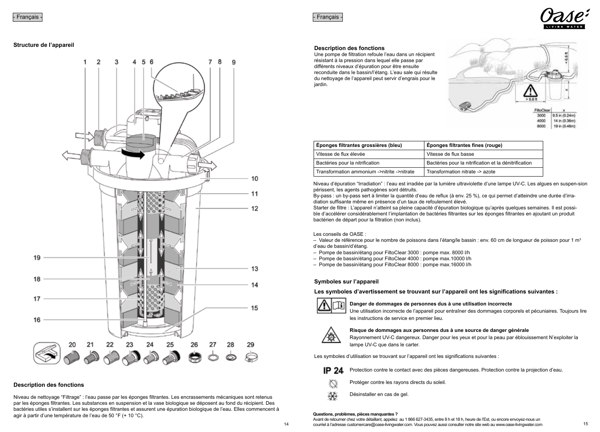**Structure de l'appareil** 



### **Description des fonctions**

Niveau de nettoyage "Filtrage" : l'eau passe par les éponges filtrantes. Les encrassements mécaniques sont retenus par les éponges filtrantes. Les substances en suspension et la vase biologique se déposent au fond du récipient. Des bactéries utiles s'installent sur les éponges filtrantes et assurent une épuration biologique de l'eau. Elles commencent à agir à partir d'une température de l'eau de 50 °F (+ 10 °C).

**Description des fonctions** 

Une pompe de filtration refoule l'eau dans un récipient résistant à la pression dans lequel elle passe par différents niveaux d'épuration pour être ensuite reconduite dans le bassin/l'étang. L'eau sale qui résulte du nettoyage de l'appareil peut servir d'engrais pour le jardin.



| Éponges filtrantes grossières (bleu)        | Éponges filtrantes fines (rouge)                      |  |  |
|---------------------------------------------|-------------------------------------------------------|--|--|
| Vitesse de flux élevée                      | Vitesse de flux basse                                 |  |  |
| Bactéries pour la nitrification             | Bactéries pour la nitrification et la dénitrification |  |  |
| Transformation ammonium ->nitrite ->nitrate | Transformation nitrate -> azote                       |  |  |

Niveau d'épuration "Irradiation" : l'eau est irradiée par la lumière ultraviolette d'une lampe UV-C. Les algues en suspen-sion périssent, les agents pathogènes sont détruits.

By-pass : un by-pass sert à limiter la quantité d'eau de reflux (à env. 25 %), ce qui permet d'atteindre une durée d'irradiation suffisante même en présence d'un taux de refoulement élevé.

Starter de filtre : L'appareil n'atteint sa pleine capacité d'épuration biologique qu'après quelques semaines. Il est possible d'accélérer considérablement l'implantation de bactéries filtrantes sur les éponges filtrantes en ajoutant un produit bactérien de départ pour la filtration (non inclus).

Les conseils de OASE :

– Valeur de référence pour le nombre de poissons dans l'étang/le bassin : env. 60 cm de longueur de poisson pour 1 m<sup>3</sup> d'eau de bassin/d'étang.

- Pompe de bassin/étang pour FiltoClear 3000 : pompe max. 8000 l/h
- Pompe de bassin/étang pour FiltoClear 4000 : pompe max.10000 l/h
- Pompe de bassin/étang pour FiltoClear 8000 : pompe max.16000 l/h

### **Symboles sur l'appareil**

**Les symboles d'avertissement se trouvant sur l'appareil ont les significations suivantes :** 



**Danger de dommages de personnes dus à une utilisation incorrecte** 

Une utilisation incorrecte de l'appareil pour entraîner des dommages corporels et pécuniaires. Toujours lire les instructions de service en premier lieu.



**Risque de dommages aux personnes dus à une source de danger générale** 

Rayonnement UV-C dangereux. Danger pour les yeux et pour la peau par éblouissement N'exploiter la lampe UV-C que dans le carter.

Les symboles d'utilisation se trouvant sur l'appareil ont les significations suivantes :

IP 24 Protection contre le contact avec des pièces dangereuses. Protection contre la projection d'eau.

- Ö Protéger contre les rayons directs du soleil.
- ¥é Désinstaller en cas de gel.

### **Questions, problèmes, pièces manquantes ?**

Avant de retourner chez votre détaillant, appelez au 1 866 627-3435, entre 8 h et 18 h, heure de l'Est, ou encore envoyez-nous un 14 courriel à l'adresse customercare@oase-livingwater.com. Vous pouvez aussi consulter notre site web au www.oase-livingwater.com 15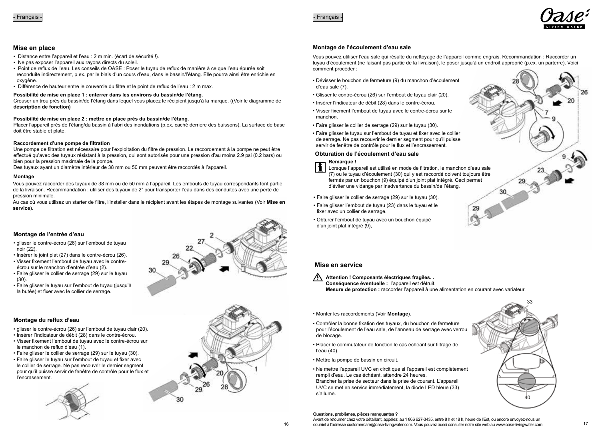### - Français - - Français - - Français - - Français - - Français - - - Français - - - - - - - - - - - - - - - - -



### **Mise en place**

- Distance entre l'appareil et l'eau : 2 m min. (écart de sécurité !).
- Ne pas exposer l'appareil aux rayons directs du soleil.
- Point de reflux de l'eau. Les conseils de OASE : Poser le tuyau de reflux de manière à ce que l'eau épurée soit reconduite indirectement, p.ex. par le biais d'un cours d'eau, dans le bassin/l'étang. Elle pourra ainsi être enrichie en oxygène.
- Différence de hauteur entre le couvercle du filtre et le point de reflux de l'eau : 2 m max.

### **Possibilité de mise en place 1 : enterrer dans les environs du bassin/de l'étang.**

Creuser un trou près du bassin/de l'étang dans lequel vous placez le récipient jusqu'à la marque. ((Voir le diagramme de **description de fonction)**

### **Possibilité de mise en place 2 : mettre en place près du bassin/de l'étang.**

Placer l'appareil près de l'étang/du bassin à l'abri des inondations (p.ex. caché derrière des buissons). La surface de base doit être stable et plate.

### **Raccordement d'une pompe de filtration**

Une pompe de filtration est nécessaire pour l'exploitation du filtre de pression. Le raccordement à la pompe ne peut être effectué qu'avec des tuyaux résistant à la pression, qui sont autorisés pour une pression d'au moins 2.9 psi (0.2 bars) ou bien pour la pression maximale de la pompe.

Des tuyaux ayant un diamètre intérieur de 38 mm ou 50 mm peuvent être raccordés à l'appareil.

### **Montage**

Vous pouvez raccorder des tuyaux de 38 mm ou de 50 mm à l'appareil. Les embouts de tuyau correspondants font partie de la livraison. Recommandation : utiliser des tuyaux de 2" pour transporter l'eau dans des conduites avec une perte de pression minimale.

Au cas où vous utilisez un starter de filtre, l'installer dans le récipient avant les étapes de montage suivantes (Voir **Mise en service**).

### **Montage de l'entrée d'eau**

- glisser le contre-écrou (26) sur l'embout de tuyau noir (22).
- Insérer le joint plat (27) dans le contre-écrou (26). • Visser fixement l'embout de tuyau avec le contre-
- écrou sur le manchon d'entrée d'eau (2).
- Faire glisser le collier de serrage (29) sur le tuyau (30).
- Faire glisser le tuyau sur l'embout de tuyau (jusqu'à la butée) et fixer avec le collier de serrage.

### **Montage du reflux d'eau**

- glisser le contre-écrou (26) sur l'embout de tuyau clair (20).
- Insérer l'indicateur de débit (28) dans le contre-écrou.
- Visser fixement l'embout de tuyau avec le contre-écrou sur le manchon de reflux d'eau (1).
- Faire glisser le collier de serrage (29) sur le tuyau (30).
- Faire glisser le tuyau sur l'embout de tuyau et fixer avec le collier de serrage. Ne pas recouvrir le dernier segment pour qu'il puisse servir de fenêtre de contrôle pour le flux et l'encrassement.





### **Montage de l'écoulement d'eau sale**

Vous pouvez utiliser l'eau sale qui résulte du nettoyage de l'appareil comme engrais. Recommandation : Raccorder un tuyau d'écoulement (ne faisant pas partie de la livraison), le poser jusqu'à un endroit approprié (p.ex. un parterre). Voici comment procéder :

- Dévisser le bouchon de fermeture (9) du manchon d'écoulement d'eau sale (7).
- Glisser le contre-écrou (26) sur l'embout de tuyau clair (20).
- Insérer l'indicateur de débit (28) dans le contre-écrou.
- Visser fixement l'embout de tuyau avec le contre-écrou sur le manchon.
- Faire glisser le collier de serrage (29) sur le tuyau (30).
- Faire glisser le tuyau sur l'embout de tuyau et fixer avec le collier de serrage. Ne pas recouvrir le dernier segment pour qu'il puisse servir de fenêtre de contrôle pour le flux et l'encrassement.

### **Obturation de l'écoulement d'eau sale**



Lorsque l'appareil est utilisé en mode de filtration, le manchon d'eau sale (7) ou le tuyau d'écoulement (30) qui y est raccordé doivent toujours être fermés par un bouchon (9) équipé d'un joint plat intégré. Ceci permet d'éviter une vidange par inadvertance du bassin/de l'étang.

- Faire glisser le collier de serrage (29) sur le tuyau (30).
- Faire glisser l'embout de tuyau (23) dans le tuyau et le fixer avec un collier de serrage.
- Obturer l'embout de tuyau avec un bouchon équipé d'un joint plat intégré (9),

### **Mise en service**

- **Attention ! Composants électriques fragiles. . Conséquence éventuelle :** l'appareil est détruit. **Mesure de protection : raccorder l'appareil à une alimentation en courant avec variateur.**
- Monter les raccordements (Voir **Montage**).
- Contrôler la bonne fixation des tuyaux, du bouchon de fermeture pour l'écoulement de l'eau sale, de l'anneau de serrage avec verrou de blocage.
- Placer le commutateur de fonction le cas échéant sur filtrage de l'eau (40).
- Mettre la pompe de bassin en circuit.
- Ne mettre l'appareil UVC en circit que si l'appareil est complètement rempli d'eau. Le cas échéant, attendre 24 heures. Brancher la prise de secteur dans la prise de courant. L'appareil UVC se met en service immédiatement, la diode LED bleue (33) s'allume.



### **Questions, problèmes, pièces manquantes ?**

Avant de retourner chez votre détaillant, appelez au 1 866 627-3435, entre 8 h et 18 h, heure de l'Est, ou encore envoyez-nous un 16 courriel à l'adresse customercare@oase-livingwater.com. Vous pouvez aussi consulter notre site web au www.oase-livingwater.com 17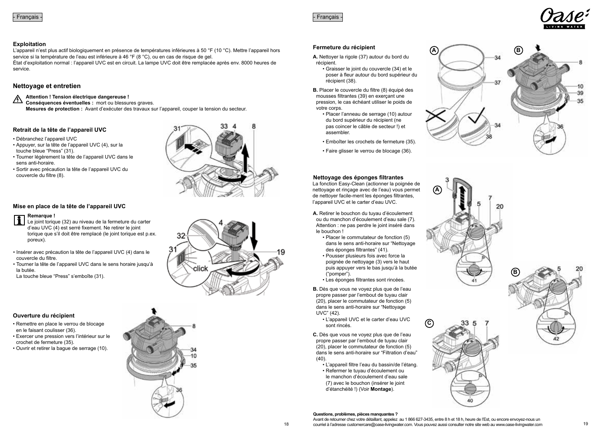

### **Exploitation**

L'appareil n'est plus actif biologiquement en présence de températures inférieures à 50 °F (10 °C). Mettre l'appareil hors service si la température de l'eau est inférieure à 46 °F (8 °C), ou en cas de risque de gel. État d'exploitation normal : l'appareil UVC est en circuit. La lampe UVC doit être remplacée après env. 8000 heures de service.

### **Nettoyage et entretien**

- **Attention ! Tension électrique dangereuse !**
- **Conséquences éventuelles :** mort ou blessures graves. **Mesures de protection :** Avant d'exécuter des travaux sur l'appareil, couper la tension du secteur.

### **Retrait de la tête de l'appareil UVC**

- Débranchez l'appareil UVC
- Appuyer, sur la tête de l'appareil UVC (4), sur la touche bleue "Press" (31).
- Tourner légèrement la tête de l'appareil UVC dans le sens anti-horaire.
- Sortir avec précaution la tête de l'appareil UVC du couvercle du filtre (8).



### **Mise en place de la tête de l'appareil UVC**

### **Remarque !**

- Le joint torique (32) au niveau de la fermeture du carter d'eau UVC (4) est serré fixement. Ne retirer le joint torique que s'il doit être remplacé (le joint torique est p.ex. poreux).
- Insérer avec précaution la tête de l'appareil UVC (4) dans le couvercle du filtre.
- Tourner la tête de l'appareil UVC dans le sens horaire jusqu'à la butée.
- La touche bleue "Press" s'emboîte (31).

### **Ouverture du récipient**

- Remettre en place le verrou de blocage en le faisant coulisser (36).
- Exercer une pression vers l'intérieur sur le crochet de fermeture (35).
- Ouvrir et retirer la bague de serrage (10).



١ñ

### **Fermeture du récipient**

- **A.** Nettoyer la rigole (37) autour du bord du
	- Graisser le joint du couvercle (34) et le poser à fleur autour du bord supérieur du récipient (38).

**B.** Placer le couvercle du filtre (8) équipé des mousses filtrantes (39) en exerçant une pression, le cas échéant utiliser le poids de

- Placer l'anneau de serrage (10) autour du bord supérieur du récipient (ne pas coincer le câble de secteur !) et assembler.
- 
- Emboîter les crochets de fermeture (35). Faire glisser le verrou de blocage (36).

### **Nettoyage des éponges filtrantes**

La fonction Easy-Clean (actionner la poignée de nettoyage et rinçage avec de l'eau) vous permet de nettoyer facile-ment les éponges filtrantes, l'appareil UVC et le carter d'eau UVC.

- **A.** Retirer le bouchon du tuyau d'écoulement ou du manchon d'écoulement d'eau sale (7). Attention : ne pas perdre le joint inséré dans<br>le bouchon !
	- Placer le commutateur de fonction (5) dans le sens anti-horaire sur "Nettoyage des éponges filtrantes" (41).
	- Pousser plusieurs fois avec force la poignée de nettoyage (3) vers le haut puis appuyer vers le bas jusqu'à la butée ("pomper").
	- Les éponges filtrantes sont rincées.

**B.** Dès que vous ne voyez plus que de l'eau propre passer par l'embout de tuyau clair (20), placer le commutateur de fonction (5) dans le sens anti-horaire sur "Nettoyage UVC" (42).

• L'appareil UVC et le carter d'eau UVC sont rincés.

**C.** Dès que vous ne voyez plus que de l'eau propre passer par l'embout de tuyau clair (20), placer le commutateur de fonction (5) dans le sens anti-horaire sur "Filtration d'eau" (40).

- L'appareil filtre l'eau du bassin/de l'étang. • Refermer le tuyau d'écoulement ou
- le manchon d'écoulement d'eau sale (7) avec le bouchon (insérer le joint d'étanchéité !) (Voir **Montage**).





# **B**



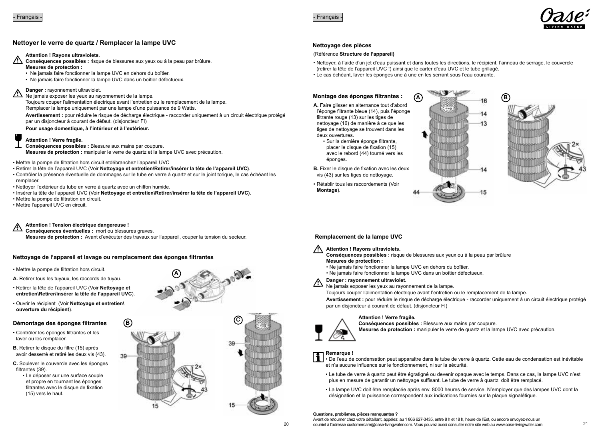

### **Nettoyer le verre de quartz / Remplacer la lampe UVC**

### **Attention ! Rayons ultraviolets**.

**! Conséquences possibles :** risque de blessures aux yeux ou à la peau par brûlure. **Mesures de protection :**

- Ne jamais faire fonctionner la lampe UVC en dehors du boîtier.
- Ne jamais faire fonctionner la lampe UVC dans un boîtier défectueux.

### **Danger : rayonnement ultraviolet.**

**!** Ne jamais exposer les yeux au rayonnement de la lampe. Toujours couper l'alimentation électrique avant l'entretien ou le remplacement de la lampe. Remplacer la lampe uniquement par une lampe d'une puissance de 9 Watts.

**Avertissement :** pour réduire le risque de décharge électrique - raccorder uniquement à un circuit électrique protégé par un disjoncteur à courant de défaut. (disjoncteur FI)

**Pour usage domestique, à l'intérieur et à l'extérieur.**

### **Attention ! Verre fragile.**

**Conséquences possibles :** Blessure aux mains par coupure. **Mesures de protection :** manipuler le verre de quartz et la lampe UVC avec précaution.

- Mettre la pompe de filtration hors circuit etdébranchez l'appareil UVC
- Retirer la tête de l'appareil UVC (Voir **Nettoyage et entretien\Retirer/insérer la tête de l'appareil UVC)**.
- Contrôler la présence éventuelle de dommages sur le tube en verre à quartz et sur le joint torique, le cas échéant les remplacer.
- Nettoyer l'extérieur du tube en verre à quartz avec un chiffon humide.
- Insérer la tête de l'appareil UVC (Voi**r Nettoyage et entretien\Retirer/insérer la tête de l'appareil UVC)**.
- Mettre la pompe de filtration en circuit.
- Mettre l'appareil UVC en circuit.

### **Attention ! Tension électrique dangereuse !**

**Conséquences éventuelles :** mort ou blessures graves.

**Mesures de protection :** Avant d'exécuter des travaux sur l'appareil, couper la tension du secteur.

15

### **Nettoyage de l'appareil et lavage ou remplacement des éponges filtrantes**

- Mettre la pompe de filtration hors circuit.
- **A.** Retirer tous les tuyaux, les raccords de tuyau.
- Retirer la tête de l'appareil UVC (Voir **Nettoyage et entretien\Retirer/insérer la tête de l'appareil UVC**).
- Ouvrir le récipient (Voir **Nettoyage et entretien\ ouverture du récipient**).

### **Démontage des éponges filtrantes**

- Contrôler les éponges filtrantes et les laver ou les remplacer.
- **B.** Retirer le disque du filtre (15) après avoir desserré et retiré les deux vis (43).
- **C.** Soulever le couvercle avec les éponges filtrantes (39).
	- Le déposer sur une surface souple et propre en tournant les éponges filtrantes avec le disque de fixation (15) vers le haut.



### **Nettoyage des pièces**

### (Référence **Structure de l'appareil)**

• Nettoyer, à l'aide d'un jet d'eau puissant et dans toutes les directions, le récipient, l'anneau de serrage, le couvercle (retirer la tête de l'appareil UVC !) ainsi que le carter d'eau UVC et le tube grillagé.

• Le cas échéant, laver les éponges une à une en les serrant sous l'eau courante.

### **Montage des éponges filtrantes :**

**A.** Faire glisser en alternance tout d'abord l'éponge filtrante bleue (14), puis l'éponge filtrante rouge (13) sur les tiges de nettoyage (16) de manière à ce que les tiges de nettoyage se trouvent dans les deux ouvertures.

- Sur la dernière éponge filtrante, placer le disque de fixation (15) avec le rebord (44) tourné vers les éponges.
- **B.** Fixer le disque de fixation avec les deux vis (43) sur les tiges de nettoyage.
- Rétablir tous les raccordements (Voir **Montage**).





### **Remplacement de la lampe UVC**

### **Attention ! Rayons ultraviolets. !**

**Conséquences possibles :** risque de blessures aux yeux ou à la peau par brûlure **Mesures de protection :**

- Ne jamais faire fonctionner la lampe UVC en dehors du boîtier.
- Ne jamais faire fonctionner la lampe UVC dans un boîtier défectueux.

### **Danger : rayonnement ultraviolet. !**

Ne jamais exposer les yeux au rayonnement de la lampe.

Toujours couper l'alimentation électrique avant l'entretien ou le remplacement de la lampe.

**Avertissement :** pour réduire le risque de décharge électrique - raccorder uniquement à un circuit électrique protégé par un disjoncteur à courant de défaut. (disjoncteur FI)

### **Attention ! Verre fragile.**



**Conséquences possibles :** Blessure aux mains par coupure. **Mesures de protection :** manipuler le verre de quartz et la lampe UVC avec précaution.

### **Remarque !**

• De l'eau de condensation peut apparaître dans le tube de verre à quartz. Cette eau de condensation est inévitable et n'a aucune influence sur le fonctionnement, ni sur la sécurité.

- Le tube de verre à quartz peut être égratigné ou devenir opaque avec le temps. Dans ce cas, la lampe UVC n'est plus en mesure de garantir un nettoyage suffisant. Le tube de verre à quartz doit être remplacé.
- La lampe UVC doit être remplacée après env. 8000 heures de service. N'employer que des lampes UVC dont la désignation et la puissance correspondent aux indications fournies sur la plaque signalétique.

### **Questions, problèmes, pièces manquantes ?**

Avant de retourner chez votre détaillant, appelez au 1 866 627-3435, entre 8 h et 18 h, heure de l'Est, ou encore envoyez-nous un 20 courriel à l'adresse customercare@oase-livingwater.com. Vous pouvez aussi consulter notre site web au www.oase-livingwater.com 21

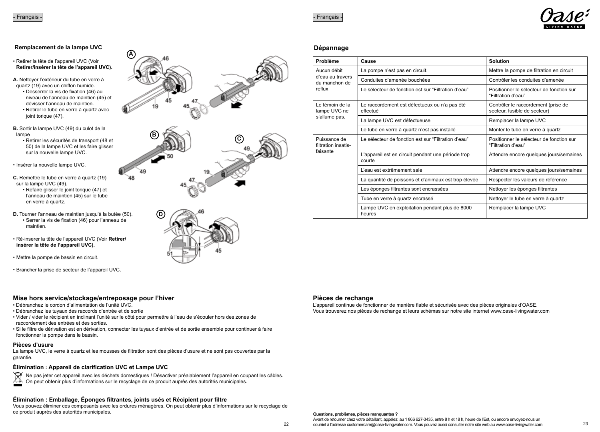

### **Remplacement de la lampe UVC**

• Retirer la tête de l'appareil UVC (Voir **Retirer/insérer la tête de l'appareil UVC).** 

**A.** Nettoyer l'extérieur du tube en verre à quartz (19) avec un chiffon humide.

- Desserrer la vis de fixation (46) au niveau de l'anneau de maintien (45) et dévisser l'anneau de maintien.
- Retirer le tube en verre à quartz avec ioint torique (47).

**B.** Sortir la lampe UVC (49) du culot de la lampe

• Retirer les sécurités de transport (48 et 50) de la lampe UVC et les faire glisser sur la nouvelle lampe UVC.

• Insérer la nouvelle lampe UVC.

**C.** Remettre le tube en verre à quartz (19) sur la lampe UVC (49).

- Refaire glisser le joint torique (47) et l'anneau de maintien (45) sur le tube en verre à quartz.
- **D.** Tourner l'anneau de maintien jusqu'à la butée (50). • Serrer la vis de fixation (46) pour l'anneau de maintien.
- Ré-inserer la tête de l'appareil UVC (Voir **Retirer/ insérer la tête de l'appareil UVC).**
- Mettre la pompe de bassin en circuit.

• Brancher la prise de secteur de l'appareil UVC.

### **Mise hors service/stockage/entreposage pour l'hiver**

- Débranchez le cordon d'alimentation de l'unité UVC.
- Débranchez les tuyaux des raccords d'entrée et de sortie
- Vider / vider le récipient en inclinant l'unité sur le côté pour permettre à l'eau de s'écouler hors des zones de raccordement des entrées et des sorties.
- Si le filtre de dérivation est en dérivation, connecter les tuyaux d'entrée et de sortie ensemble pour continuer à faire fonctionner la pompe dans le bassin.

### **Pièces d'usure**

La lampe UVC, le verre à quartz et les mousses de filtration sont des pièces d'usure et ne sont pas couvertes par la garantie.

### **Élimination : Appareil de clarification UVC et Lampe UVC**



Ne pas jeter cet appareil avec les déchets domestiques ! Désactiver préalablement l'appareil en coupant les câbles. On peut obtenir plus d'informations sur le recyclage de ce produit auprès des autorités municipales.

### **Élimination : Emballage, Éponges filtrantes, joints usés et Récipient pour filtre**

Vous pouvez éliminer ces composants avec les ordures ménagères. On peut obtenir plus d'informations sur le recyclage de ce produit auprès des autorités municipales.







### **Dépannage**

| Problème                            | Cause                                                        | Solution                                                            |  |
|-------------------------------------|--------------------------------------------------------------|---------------------------------------------------------------------|--|
| Aucun débit                         | La pompe n'est pas en circuit.                               | Mettre la pompe de filtration en circuit                            |  |
| d'eau au travers<br>du manchon de   | Conduites d'amenée bouchées                                  | Contrôler les conduites d'amenée                                    |  |
| reflux                              | Le sélecteur de fonction est sur "Filtration d'eau"          | Positionner le sélecteur de fonction sur<br>"Filtration d'eau"      |  |
| Le témoin de la<br>lampe UVC ne     | Le raccordement est défectueux ou n'a pas été<br>effectué    | Contrôler le raccordement (prise de<br>secteur, fusible de secteur) |  |
| s'allume pas.                       | La lampe UVC est défectueuse                                 | Remplacer la lampe UVC                                              |  |
|                                     | Le tube en verre à quartz n'est pas installé                 | Monter le tube en verre à quartz                                    |  |
| Puissance de<br>filtration insatis- | Le sélecteur de fonction est sur "Filtration d'eau"          | Positionner le sélecteur de fonction sur<br>"Filtration d'eau"      |  |
| faisante                            | L'appareil est en circuit pendant une période trop<br>courte | Attendre encore quelques jours/semaines                             |  |
|                                     | L'eau est extrêmement sale                                   | Attendre encore quelques jours/semaines                             |  |
|                                     | La quantité de poissons et d'animaux est trop élevée         | Respecter les valeurs de référence                                  |  |
|                                     | Les éponges filtrantes sont encrassées                       | Nettoyer les éponges filtrantes                                     |  |
|                                     | Tube en verre à quartz encrassé                              | Nettoyer le tube en verre à quartz                                  |  |
|                                     | Lampe UVC en exploitation pendant plus de 8000<br>heures     | Remplacer la lampe UVC                                              |  |

### **Pièces de rechange**

L'appareil continue de fonctionner de manière fiable et sécurisée avec des pièces originales d'OASE. Vous trouverez nos pièces de rechange et leurs schémas sur notre site internet www.oase-livingwater.com

**Questions, problèmes, pièces manquantes ?**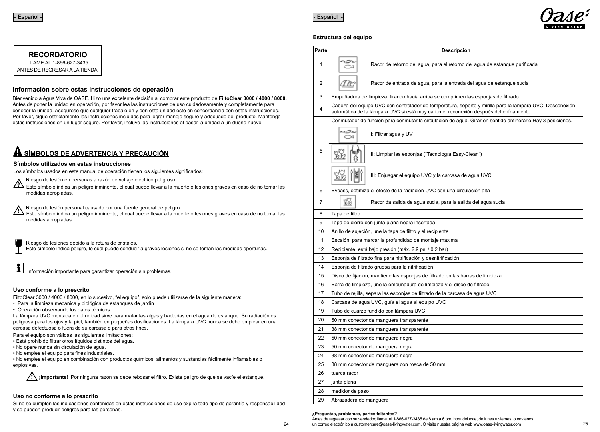



### **Estructura del equipo**

| Parte          | Descripción                                                                    |                                                                                                                                                                                                     |  |  |  |  |  |
|----------------|--------------------------------------------------------------------------------|-----------------------------------------------------------------------------------------------------------------------------------------------------------------------------------------------------|--|--|--|--|--|
| 1              | Racor de retorno del agua, para el retorno del agua de estangue purificada     |                                                                                                                                                                                                     |  |  |  |  |  |
| 2              | Œ<br>Racor de entrada de agua, para la entrada del agua de estanque sucia      |                                                                                                                                                                                                     |  |  |  |  |  |
| 3              |                                                                                | Empuñadura de limpieza, tirando hacia arriba se comprimen las esponjas de filtrado                                                                                                                  |  |  |  |  |  |
| 4              |                                                                                | Cabeza del equipo UVC con controlador de temperatura, soporte y mirilla para la lámpara UVC. Desconexión<br>automática de la lámpara UVC si está muy caliente, reconexión después del enfriamiento. |  |  |  |  |  |
|                |                                                                                | Conmutador de función para conmutar la circulación de agua. Girar en sentido antihorario Hay 3 posiciones.                                                                                          |  |  |  |  |  |
|                |                                                                                | I: Filtrar agua y UV                                                                                                                                                                                |  |  |  |  |  |
| 5              |                                                                                | II: Limpiar las esponjas ("Tecnología Easy-Clean")                                                                                                                                                  |  |  |  |  |  |
|                |                                                                                | III: Enjuagar el equipo UVC y la carcasa de agua UVC                                                                                                                                                |  |  |  |  |  |
| 6              |                                                                                | Bypass, optimiza el efecto de la radiación UVC con una circulación alta                                                                                                                             |  |  |  |  |  |
| $\overline{7}$ | <u>W</u>                                                                       | Racor da salida de agua sucia, para la salida del agua sucia                                                                                                                                        |  |  |  |  |  |
| 8              | Tapa de filtro                                                                 |                                                                                                                                                                                                     |  |  |  |  |  |
| 9              | Tapa de cierre con junta plana negra insertada                                 |                                                                                                                                                                                                     |  |  |  |  |  |
| 10             | Anillo de sujeción, une la tapa de filtro y el recipiente                      |                                                                                                                                                                                                     |  |  |  |  |  |
| 11             | Escalón, para marcar la profundidad de montaje máxima                          |                                                                                                                                                                                                     |  |  |  |  |  |
| 12             |                                                                                | Recipiente, está bajo presión (máx. 2.9 psi / 0,2 bar)                                                                                                                                              |  |  |  |  |  |
| 13             |                                                                                | Esponja de filtrado fina para nitrificación y desnitrificación                                                                                                                                      |  |  |  |  |  |
| 14             |                                                                                | Esponja de filtrado gruesa para la nitrificación                                                                                                                                                    |  |  |  |  |  |
| 15             | Disco de fijación, mantiene las esponjas de filtrado en las barras de limpieza |                                                                                                                                                                                                     |  |  |  |  |  |
| 16             | Barra de limpieza, une la empuñadura de limpieza y el disco de filtrado        |                                                                                                                                                                                                     |  |  |  |  |  |
| 17             | Tubo de rejilla, separa las esponjas de filtrado de la carcasa de agua UVC     |                                                                                                                                                                                                     |  |  |  |  |  |
| 18             | Carcasa de agua UVC, guía el agua al equipo UVC                                |                                                                                                                                                                                                     |  |  |  |  |  |
| 19             | Tubo de cuarzo fundido con lámpara UVC                                         |                                                                                                                                                                                                     |  |  |  |  |  |
| 20             | 50 mm conector de manguera transparente                                        |                                                                                                                                                                                                     |  |  |  |  |  |
| 21             | 38 mm conector de manguera transparente                                        |                                                                                                                                                                                                     |  |  |  |  |  |
| 22             | 50 mm conector de manguera negra                                               |                                                                                                                                                                                                     |  |  |  |  |  |
| 23             | 50 mm conector de manguera negra                                               |                                                                                                                                                                                                     |  |  |  |  |  |
| 24             | 38 mm conector de manguera negra                                               |                                                                                                                                                                                                     |  |  |  |  |  |
| 25             | 38 mm conector de manguera con rosca de 50 mm                                  |                                                                                                                                                                                                     |  |  |  |  |  |
| 26<br>27       | tuerca racor                                                                   |                                                                                                                                                                                                     |  |  |  |  |  |
| 28             | junta plana                                                                    |                                                                                                                                                                                                     |  |  |  |  |  |
| 29             | medidor de paso                                                                |                                                                                                                                                                                                     |  |  |  |  |  |
|                | Abrazadera de manguera                                                         |                                                                                                                                                                                                     |  |  |  |  |  |

### **RECORDATORIO** LLAME AL 1-866-627-3435

ANTES DE REGRESAR A LA TIENDA.

### **Información sobre estas instrucciones de operación**

Bienvenido a Agua Viva de OASE. Hizo una excelente decisión al comprar este producto de **FiltoClear 3000 / 4000 / 8000.** Antes de poner la unidad en operación, por favor lea las instrucciones de uso cuidadosamente y completamente para conocer la unidad. Asegúrese que cualquier trabajo en y con esta unidad esté en concordancia con estas instrucciones. Por favor, sigue estrictamente las instrucciones incluidas para lograr manejo seguro y adecuado del producto. Mantenga estas instrucciones en un lugar seguro. Por favor, incluye las instrucciones al pasar la unidad a un dueño nuevo.

# **SÍMBOLOS DE ADVERTENCIA Y PRECAUCIÓN**

### **Símbolos utilizados en estas instrucciones**

Los símbolos usados en este manual de operación tienen los siguientes significados:

- Riesgo de lesión en personas a razón de voltaje eléctrico peligroso.
- Este símbolo indica un peligro inminente, el cual puede llevar a la muerte o lesiones graves en caso de no tomar las medidas apropiadas.

Riesgo de lesión personal causado por una fuente general de peligro.

Este símbolo indica un peligro inminente, el cual puede llevar a la muerte o lesiones graves en caso de no tomar las medidas apropiadas. **!**

Riesgo de lesiones debido a la rotura de cristales.

Este símbolo indica peligro, lo cual puede conducir a graves lesiones si no se toman las medidas oportunas.



Información importante para garantizar operación sin problemas.

### **Uso conforme a lo prescrito**

FiltoClear 3000 / 4000 / 8000, en lo sucesivo, "el equipo", solo puede utilizarse de la siguiente manera:

- Para la limpieza mecánica y biológica de estanques de jardín
- Operación observando los datos técnicos.

La lámpara UVC montada en el unidad sirve para matar las algas y bacterias en el agua de estanque. Su radiación es peligrosa para los ojos y la piel, también en pequeñas dosificaciones. La lámpara UVC nunca se debe emplear en una carcasa defectuosa o fuera de su carcasa o para otros fines.

Para el equipo son válidas las siguientes limitaciones:

- Está prohibido filtrar otros líquidos distintos del agua.
- No opere nunca sin circulación de agua.
- No emplee el equipo para fines industriales.

• No emplee el equipo en combinación con productos químicos, alimentos y sustancias fácilmente inflamables o explosivas.

**¡Importante**! Por ninguna razón se debe rebosar el filtro. Existe peligro de que se vacíe el estanque. **!**

### **Uso no conforme a lo prescrito**

Si no se cumplen las indicaciones contenidas en estas instrucciones de uso expira todo tipo de garantía y responsabilidad y se pueden producir peligros para las personas.

**¿Preguntas, problemas, partes faltantes?** 

Antes de regresar con su vendedor, llame al 1-866-627-3435 de 8 am a 6 pm, hora del este, de lunes a viernes, o envíenos 24 un correo electrónico a customercare@oase-livingwater.com. O visite nuestra página web www.oase-livingwater.com 25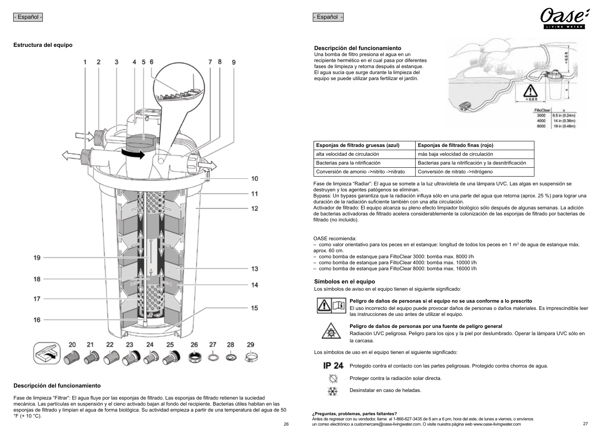**Estructura del equipo**



### **Descripción del funcionamiento**

Fase de limpieza "Filtrar": El agua fluye por las esponjas de filtrado. Las esponjas de filtrado retienen la suciedad mecánica. Las partículas en suspensión y el cieno activado bajan al fondo del recipiente. Bacterias útiles habitan en las esponjas de filtrado y limpian el agua de forma biológica. Su actividad empieza a partir de una temperatura del agua de 50  $\degree$ F (+ 10  $\degree$ C).

- Español - - Español -



### **Descripción del funcionamiento**

Una bomba de filtro presiona el agua en un recipiente hermético en el cual pasa por diferentes fases de limpieza y retorna después al estanque. El agua sucia que surge durante la limpieza del equipo se puede utilizar para fertilizar el jardín.



| Esponias de filtrado gruesas (azul)      | Esponjas de filtrado finas (rojo)                     |  |  |
|------------------------------------------|-------------------------------------------------------|--|--|
| alta velocidad de circulación            | más baja velocidad de circulación                     |  |  |
| Bacterias para la nitrificación          | Bacterias para la nitrificación y la desnitrificación |  |  |
| Conversión de amonio ->nitrito ->nitrato | Conversión de nitrato ->nitrógeno                     |  |  |

Fase de limpieza "Radiar": El agua se somete a la luz ultravioleta de una lámpara UVC. Las algas en suspensión se destruyen y los agentes patógenos se eliminan.

Bypass: Un bypass garantiza que la radiación influya sólo en una parte del agua que retorna (aprox. 25 %) para lograr una duración de la radiación suficiente también con una alta circulación.

Activador de filtrado: El equipo alcanza su pleno efecto limpiador biológico sólo después de algunas semanas. La adición de bacterias activadoras de filtrado acelera considerablemente la colonización de las esponjas de filtrado por bacterias de filtrado (no incluido).

OASE recomienda:

 $-$  como valor orientativo para los peces en el estanque: longitud de todos los peces en 1 m<sup>3</sup> de agua de estanque máx. aprox. 60 cm.

- como bomba de estanque para FiltoClear 3000: bomba max. 8000 l/h
- como bomba de estanque para FiltoClear 4000: bomba max. 10000 l/h
- como bomba de estanque para FiltoClear 8000: bomba max. 16000 l/h

### **Símbolos en el equipo**

Los símbolos de aviso en el equipo tienen el siguiente significado:



**Peligro de daños de personas si el equipo no se usa conforme a lo prescrito** 

El uso incorrecto del equipo puede provocar daños de personas o daños materiales. Es imprescindible leer las instrucciones de uso antes de utilizar el equipo.



**Peligro de daños de personas por una fuente de peligro general**

Radiación UVC peligrosa. Peligro para los ojos y la piel por deslumbrado. Operar la lámpara UVC sólo en la carcasa.

Los símbolos de uso en el equipo tienen el siguiente significado:

**IP 24** Protegido contra el contacto con las partes peligrosas. Protegido contra chorros de agua.

- 燚 Proteger contra la radiación solar directa.
- 渋 Desinstalar en caso de heladas.

### **¿Preguntas, problemas, partes faltantes?**

Antes de regresar con su vendedor, llame al 1-866-627-3435 de 8 am a 6 pm, hora del este, de lunes a viernes, o envíenos 26 un correo electrónico a customercare@oase-livingwater.com. O visite nuestra página web www.oase-livingwater.com 27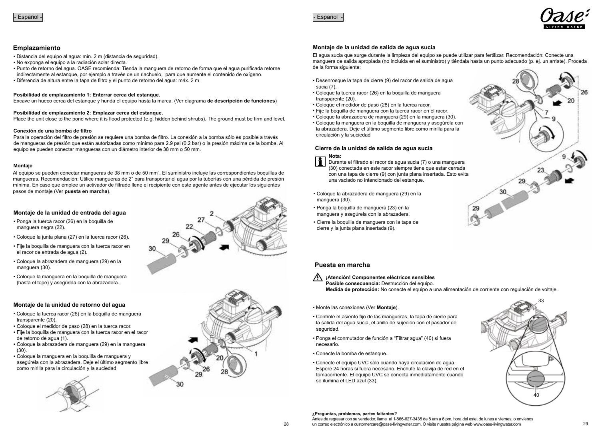

### **Emplazamiento**

- Distancia del equipo al agua: mín. 2 m (distancia de seguridad).
- No exponga el equipo a la radiación solar directa.
- Punto de retorno del agua. OASE recomienda: Tienda la manguera de retorno de forma que el agua purificada retorne
- indirectamente al estanque, por ejemplo a través de un riachuelo, para que aumente el contenido de oxígeno. • Diferencia de altura entre la tapa de filtro y el punto de retorno del agua: máx. 2 m

### **Posibilidad de emplazamiento 1: Enterrar cerca del estanque.**

Excave un hueco cerca del estanque y hunda el equipo hasta la marca. (Ver diagrama **de descripción de funciones**)

### **Posibilidad de emplazamiento 2: Emplazar cerca del estanque.**

Place the unit close to the pond where it is flood protected (e.g. hidden behind shrubs). The ground must be firm and level.

### **Conexión de una bomba de filtro**

Para la operación del filtro de presión se requiere una bomba de filtro. La conexión a la bomba sólo es posible a través de mangueras de presión que están autorizadas como mínimo para 2.9 psi (0.2 bar) o la presión máxima de la bomba. Al equipo se pueden conectar mangueras con un diámetro interior de 38 mm o 50 mm.

### **Montaje**

Al equipo se pueden conectar mangueras de 38 mm o de 50 mm". El suministro incluye las correspondientes boquillas de mangueras. Recomendación: Utilice mangueras de 2" para transportar el agua por la tuberías con una pérdida de presión mínima. En caso que emplee un activador de filtrado llene el recipiente con este agente antes de ejecutar los siguientes pasos de montaje (Ver **puesta en marcha**).

### **Montaje de la unidad de entrada del agua**

- Ponga la tuerca racor (26) en la boquilla de manguera negra (22).
- Coloque la junta plana (27) en la tuerca racor (26).
- Fije la boquilla de manguera con la tuerca racor en el racor de entrada de agua (2).
- Coloque la abrazadera de manguera (29) en la manguera (30).
- Coloque la manguera en la boquilla de manguera (hasta el tope) y asegúrela con la abrazadera.

### **Montaje de la unidad de retorno del agua**

- Coloque la tuerca racor (26) en la boquilla de manguera transparente (20).
- Coloque el medidor de paso (28) en la tuerca racor.
- Fije la boquilla de manguera con la tuerca racor en el racor de retorno de agua (1).
- Coloque la abrazadera de manguera (29) en la manguera (30).
- Coloque la manguera en la boquilla de manguera y asegúrela con la abrazadera. Deje el último segmento libre como mirilla para la circulación y la suciedad







### **Montaje de la unidad de salida de agua sucia**

El agua sucia que surge durante la limpieza del equipo se puede utilizar para fertilizar. Recomendación: Conecte una manguera de salida apropiada (no incluida en el suministro) y tiéndala hasta un punto adecuado (p. ej. un arriate). Proceda de la forma siguiente:

- Desenrosque la tapa de cierre (9) del racor de salida de agua sucia (7).
- Coloque la tuerca racor (26) en la boquilla de manguera transparente (20).
- Coloque el medidor de paso (28) en la tuerca racor.
- Fije la boquilla de manguera con la tuerca racor en el racor.
- Coloque la abrazadera de manguera (29) en la manguera (30).
- Coloque la manguera en la boquilla de manguera y asegúrela con la abrazadera. Deje el último segmento libre como mirilla para la circulación y la suciedad

### **Cierre de la unidad de salida de agua sucia**



Durante el filtrado el racor de agua sucia (7) o una manguera (30) conectada en este racor siempre tiene que estar cerrada con una tapa de cierre (9) con junta plana insertada. Esto evita una vaciado no intencionado del estanque.

- Coloque la abrazadera de manguera (29) en la manguera (30).
- Ponga la boquilla de manguera (23) en la manguera y asegúrela con la abrazadera.
- Cierre la boquilla de manguera con la tapa de cierre y la junta plana insertada (9).

### **Puesta en marcha**

**¡Atención! Componentes eléctricos sensibles Posible consecuencia:** Destrucción del equipo.

**Medida de protección:** No conecte el equipo a una alimentación de corriente con regulación de voltaje.

- Monte las conexiones (Ver **Montaje**).
- Controle el asiento fijo de las mangueras, la tapa de cierre para la salida del agua sucia, el anillo de sujeción con el pasador de seguridad.
- Ponga el conmutador de función a "Filtrar agua" (40) si fuera necesario.
- Conecte la bomba de estanque..
- Conecte el equipo UVC sólo cuando haya circulación de agua. Espere 24 horas si fuera necesario. Enchufe la clavija de red en el tomacorriente. El equipo UVC se conecta inmediatamente cuando se ilumina el LED azul (33).



### **¿Preguntas, problemas, partes faltantes?**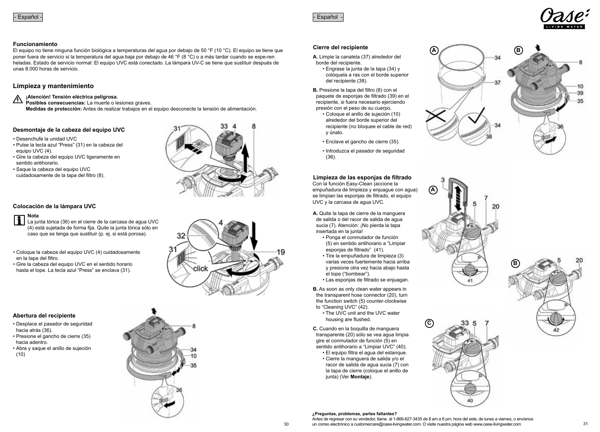

### **Funcionamiento**

El equipo no tiene ninguna función biológica a temperaturas del agua por debajo de 50 °F (10 °C). El equipo se tiene que poner fuera de servicio si la temperatura del agua baja por debajo de 46 °F (8 °C) o a más tardar cuando se espe-ren heladas. Estado de servicio normal: El equipo UVC está conectado. La lámpara UV-C se tiene que sustituir después de unas 8.000 horas de servicio.

### **Limpieza y mantenimiento**

### **¡Atención! Tensión eléctrica peligrosa.**

**Posibles consecuencias:** La muerte o lesiones graves. **Medidas de protección:** Antes de realizar trabajos en el equipo desconecte la tensión de alimentación.

### **Desmontaje de la cabeza del equipo UVC**

- Desenchufe la unidad UVC
- Pulse la tecla azul "Press" (31) en la cabeza del equipo UVC (4).
- Gire la cabeza del equipo UVC ligeramente en sentido antihorario.
- Saque la cabeza del equipo UVC
- cuidadosamente de la tapa del filtro (8).



### **Colocación de la lámpara UVC**



- La junta tórica (36) en el cierre de la carcasa de agua UVC (4) está sujetada de forma fija. Quite la junta tórica sólo en caso que se tenga que sustituir (p. ej. si está porosa).
- Coloque la cabeza del equipo UVC (4) cuidadosamente en la tapa del filtro.
- Gire la cabeza del equipo UVC en el sentido horario hasta el tope. La tecla azul "Press" se enclava (31).

### **Abertura del recipiente**

- Desplace el pasador de seguridad hacia atrás (36).
- Presione el gancho de cierre (35) hacia adentro. • Abra y saque el anillo de sujeción
- (10)



### **Cierre del recipiente**

- **A.** Limpie la canaleta (37) alrededor del
	- Engrase la junta de la tapa (34) y colóquela a ras con el borde superior del recipiente (38).

**B.** Presione la tapa del filtro (8) con el paquete de esponjas de filtrado (39) en el recipiente, si fuera necesario ejerciendo<br>presión con el peso de su cuerpo.

- Coloque el anillo de sujeción (10) alrededor del borde superior del recipiente (no bloquee el cable de red) y únalo.
- 
- Enclave el gancho de cierre (35). Introduzca el pasador de seguridad (36).

### **Limpieza de las esponjas de filtrado**

Con la función Easy-Clean (accione la empuñadura de limpieza y enjuague con agua) se limpian las esponjas de filtrado, el equipo UVC y la carcasa de agua UVC.

**A.** Quite la tapa de cierre de la manguera de salida o del racor de salida de agua sucia (7). Atención: ¡No pierda la tapa<br>insertada en la iunta!

- · Ponga el conmutador de función (5) en sentido antihorario a "Limpiar esponjas de filtrado" (41).
- Tire la empuñadura de limpieza (3) varias veces fuertemente hacia arriba y presione otra vez hacia abajo hasta el tope ("bombear").
- Las esponjas de filtrado se enjuagan.

**B.** As soon as only clean water appears in the transparent hose connector (20), turn the function switch (5) counter-clockwise to "Cleaning UVC" (42).

• The UVC unit and the UVC water housing are flushed.

**C.** Cuando en la boquilla de manguera transparente (20) sólo se vea agua limpia gire el conmutador de función (5) en sentido antihorario a "Limpiar UVC" (40).

• El equipo filtra el agua del estanque. • Cierre la manguera de salida y/o el racor de salida de agua sucia (7) con la tapa de cierre (coloque el anillo de junta) (Ver **Montaje**).







Antes de regresar con su vendedor, llame al 1-866-627-3435 de 8 am a 6 pm, hora del este, de lunes a viernes, o envíenos 30 un correo electrónico a customercare@oase-livingwater.com. O visite nuestra página web www.oase-livingwater.com 31

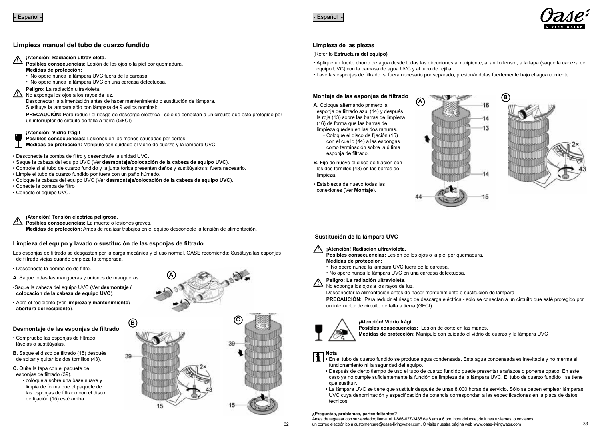### **Limpieza manual del tubo de cuarzo fundido**

### **! ¡Atención! Radiación ultravioleta.**

**Posibles consecuencias:** Lesión de los ojos o la piel por quemadura. **Medidas de protección:**

- No opere nunca la lámpara UVC fuera de la carcasa.
- No opere nunca la lámpara UVC en una carcasa defectuosa.

### **Peligro:** La radiación ultravioleta.

**!** No exponga los ojos a los rayos de luz.

Desconectar la alimentación antes de hacer mantenimiento o sustitución de lámpara. Sustituya la lámpara sólo con lámpara de 9 vatios nominal:

**PRECAUCIÓN:** Para reducir el riesgo de descarga eléctrica - sólo se conectan a un circuito que esté protegido por un interruptor de circuito de falla a tierra (GFCI)

### **¡Atención! Vidrio frágil**

**Posibles consecuencias:** Lesiones en las manos causadas por cortes **Medidas de protección:** Manipule con cuidado el vidrio de cuarzo y la lámpara UVC.

- Desconecte la bomba de filtro y desenchufe la unidad UVC.
- Saque la cabeza del equipo UVC (Ver **desmontaje/colocación de la cabeza de equipo UVC**).
- Controle si el tubo de cuarzo fundido y la junta tórica presentan daños y sustitúyalos si fuera necesario.
- Limpie el tubo de cuarzo fundido por fuera con un paño húmedo.
- Coloque la cabeza del equipo UVC (Ver **desmontaje/colocación de la cabeza de equipo UVC**).
- Conecte la bomba de filtro
- Conecte el equipo UVC.

### **¡Atención! Tensión eléctrica peligrosa.**

A **Posibles consecuencias:** La muerte o lesiones graves.

**Medidas de protección:** Antes de realizar trabajos en el equipo desconecte la tensión de alimentación.

### **Limpieza del equipo y lavado o sustitución de las esponjas de filtrado**

Las esponjas de filtrado se desgastan por la carga mecánica y el uso normal. OASE recomienda: Sustituya las esponjas de filtrado viejas cuando empieza la temporada.

 $15$ 

- Desconecte la bomba de de filtro.
- **A.** Saque todas las mangueras y uniones de mangueras.
- •Saque la cabeza del equipo UVC (Ver **desmontaje / colocación de la cabeza de equipo UVC**).
- Abra el recipiente (Ver **limpieza y mantenimiento\ abertura del recipiente**).

### **Desmontaje de las esponjas de filtrado**

- Compruebe las esponjas de filtrado, lávelas o sustitúyalas.
- **B.** Saque el disco de filtrado (15) después de soltar y quitar los dos tornillos (43).
- **C.** Quite la tapa con el paquete de esponjas de filtrado (39).
	- colóquela sobre una base suave y limpia de forma que el paquete de las esponjas de filtrado con el disco de fijación (15) esté arriba.







### **Limpieza de las piezas**

### (Refer to **Estructura del equipo)**

• Aplique un fuerte chorro de agua desde todas las direcciones al recipiente, al anillo tensor, a la tapa (saque la cabeza del equipo UVC) con la carcasa de agua UVC y al tubo de rejilla.

• Lave las esponjas de filtrado, si fuera necesario por separado, presionándolas fuertemente bajo el agua corriente.

### **Montaje de las esponjas de filtrado**

**A.** Coloque alternando primero la esponja de filtrado azul (14) y después la roja (13) sobre las barras de limpieza (16) de forma que las barras de limpieza queden en las dos ranuras. • Coloque el disco de fijación (15)

- con el cuello (44) a las espongas como terminación sobre la última esponja de filtrado.
- **B.** Fije de nuevo el disco de fijación con los dos tornillos (43) en las barras de limpieza.
- Establezca de nuevo todas las conexiones (Ver **Montaje**).





### **Sustitución de la lámpara UVC**

### **¡Atención! Radiación ultravioleta. !**

**Posibles consecuencias:** Lesión de los ojos o la piel por quemadura.

- **Medidas de protección:**
- No opere nunca la lámpara UVC fuera de la carcasa.
- No opere nunca la lámpara UVC en una carcasa defectuosa.

### **Peligro: La radiación ultravioleta**. **!**

No exponga los ojos a los rayos de luz.

Desconectar la alimentación antes de hacer mantenimiento o sustitución de lámpara

**PRECAUCIÓN:** Para reducir el riesgo de descarga eléctrica - sólo se conectan a un circuito que esté protegido por un interruptor de circuito de falla a tierra (GFCI)

### **¡Atención! Vidrio frágil.**

**Posibles consecuencias:** Lesión de corte en las manos.

**Medidas de protección:** Manipule con cuidado el vidrio de cuarzo y la lámpara UVC

### **Nota**

- En el tubo de cuarzo fundido se produce agua condensada. Esta agua condensada es inevitable y no merma el funcionamiento ni la seguridad del equipo.
- Después de cierto tiempo de uso el tubo de cuarzo fundido puede presentar arañazos o ponerse opaco. En este caso ya no cumple suficientemente la función de limpieza de la lámpara UVC. El tubo de cuarzo fundido se tiene que sustituir.
- La lámpara UVC se tiene que sustituir después de unas 8.000 horas de servicio. Sólo se deben emplear lámparas UVC cuya denominación y especificación de potencia correspondan a las especificaciones en la placa de datos técnicos.

### **¿Preguntas, problemas, partes faltantes?**

Antes de regresar con su vendedor, llame al 1-866-627-3435 de 8 am a 6 pm, hora del este, de lunes a viernes, o envíenos 32 un correo electrónico a customercare@oase-livingwater.com. O visite nuestra página web www.oase-livingwater.com 33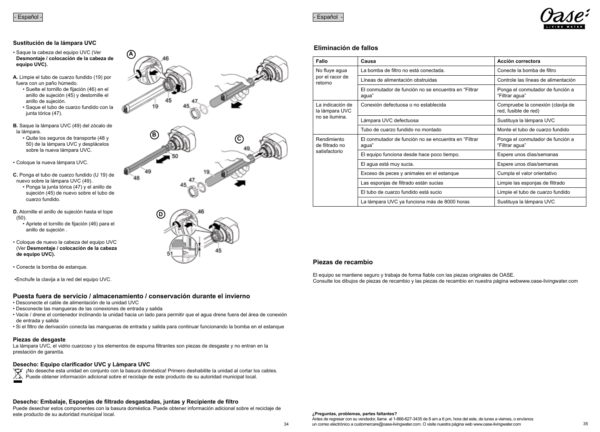No fluye agua por el racor de retorno

**Eliminación de fallos**



Ponga el conmutador de función a

### **Sustitución de la lámpara UVC**

• Saque la cabeza del equipo UVC (Ver **Desmontaje / colocación de la cabeza de equipo UVC).** 

**A.** Limpie el tubo de cuarzo fundido (19) por fuera con un paño húmedo.

• Suelte el tornillo de fijación (46) en el anillo de sujeción (45) y destornille el anillo de sujeción. • Saque el tubo de cuarzo fundido con la iunta tórica (47).

**B.** Saque la lámpara UVC (49) del zócalo de la lámpara.

• Quite los seguros de transporte (48 y 50) de la lámpara UVC y desplácelos sobre la nueva lámpara UVC.

• Coloque la nueva lámpara UVC.

**C.** Ponga el tubo de cuarzo fundido (U 19) de nuevo sobre la lámpara UVC (49).

- Ponga la junta tórica (47) y el anillo de sujeción (45) de nuevo sobre el tubo de cuarzo fundido.
- **D.** Atornille el anillo de sujeción hasta el tope (50).

• Apriete el tornillo de fijación (46) para el anillo de sujeción .

• Coloque de nuevo la cabeza del equipo UVC (Ver **Desmontaje / colocación de la cabeza de equipo UVC).**

• Conecte la bomba de estanque.

•Enchufe la clavija a la red del equipo UVC.

### **Puesta fuera de servicio / almacenamiento / conservación durante el invierno**

- Desconecte el cable de alimentación de la unidad UVC
- Desconecte las mangueras de las conexiones de entrada y salida
- Vacíe / drene el contenedor inclinando la unidad hacia un lado para permitir que el agua drene fuera del área de conexión de entrada y salida
- Si el filtro de derivación conecta las mangueras de entrada y salida para continuar funcionando la bomba en el estanque

### **Piezas de desgaste**

La lámpara UVC, el vidrio cuarzoso y los elementos de espuma filtrantes son piezas de desgaste y no entran en la prestación de garantía.

**Desecho: Equipo clarificador UVC y Lámpara UVC**<br>ነ<del>Ş</del>∕ ¡No deseche esta unidad en conjunto con la basura doméstica! Primero deshabilite la unidad al cortar los cables. Puede obtener información adicional sobre el reciclaje de este producto de su autoridad municipal local.

### **Desecho: Embalaje, Esponjas de filtrado desgastadas, juntas y Recipiente de filtro**

Puede desechar estos componentes con la basura doméstica. Puede obtener información adicional sobre el reciclaje de este producto de su autoridad municipal local.







|                                    | agua"                                                          | "Filtrar agua"                                            |  |
|------------------------------------|----------------------------------------------------------------|-----------------------------------------------------------|--|
| La indicación de<br>la lámpara UVC | Conexión defectuosa o no establecida                           | Compruebe la conexión (clavija de<br>red, fusible de red) |  |
| no se ilumina.                     | Lámpara UVC defectuosa                                         | Sustituya la lámpara UVC                                  |  |
|                                    | Tubo de cuarzo fundido no montado                              | Monte el tubo de cuarzo fundido                           |  |
| Rendimiento<br>de filtrado no      | El conmutador de función no se encuentra en "Filtrar"<br>agua" | Ponga el conmutador de función a<br>"Filtrar agua"        |  |
| satisfactorio                      | El equipo funciona desde hace poco tiempo.                     | Espere unos días/semanas                                  |  |
|                                    | El aqua está muy sucia.                                        | Espere unos días/semanas                                  |  |
|                                    | Exceso de peces y animales en el estanque                      | Cumpla el valor orientativo                               |  |
|                                    | Las esponjas de filtrado están sucias                          | Limpie las esponjas de filtrado                           |  |
|                                    | El tubo de cuarzo fundido está sucio                           | Limpie el tubo de cuarzo fundido                          |  |
|                                    | La lámpara UVC ya funciona más de 8000 horas                   | Sustituya la lámpara UVC                                  |  |

**Fallo Causa Acción correctora Acción correctora** 

El conmutador de función no se encuentra en "Filtrar

La bomba de filtro no está conectada. Conecte la bomba de filtro Líneas de alimentación obstruidas Controle las líneas de alimentación

### **Piezas de recambio**

El equipo se mantiene seguro y trabaja de forma fiable con las piezas originales de OASE. Consulte los dibujos de piezas de recambio y las piezas de recambio en nuestra página webwww.oase-livingwater.com

**¿Preguntas, problemas, partes faltantes?**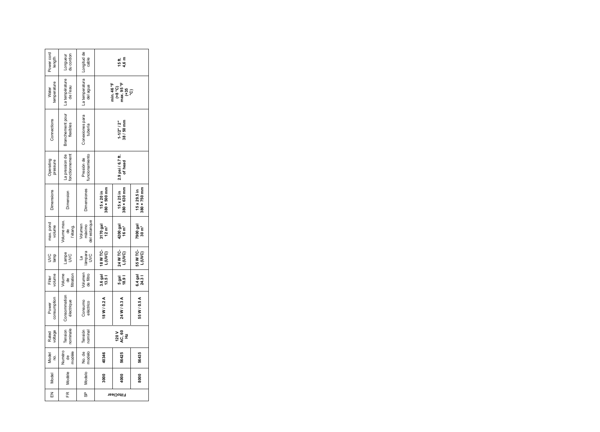| Longitud de<br>Power cord<br>du cordon<br>Longueur<br>cable<br>length<br>15 ft<br>4,6 m<br>La température<br>La temperatura<br>temperature<br>min. 46 °F<br>(+8 °C)<br>max. 95 °F<br>(+35<br>del agua<br>de l'eau<br>Water<br>Branchement pour<br>Conexiones para<br>Connections<br>$1-1/2$ " / $2$ "<br>38 / 50 mm<br>flexibles<br>tubería<br>La pression de<br>uncionamiento<br>fonctionnement<br>2.9 psi / 6.7 ft.<br>Presión de<br>Operating<br>pressure<br>of head<br>$15 \times 25 \text{ in}$<br>$380 \times 630 \text{ mm}$<br>$15 \times 20$ in<br>$380 \times 500$ mm<br>Dimensiones<br><b>Dimensions</b><br>Jimension<br>Volume max.<br>de<br>l'étang.<br>del estanque<br>max.pond<br>volumen<br>3170 gal<br>12 m <sup>3</sup><br>volume<br>máximo<br>4200 gal<br>16 m <sup>3</sup><br><b>18 W TC-</b><br>L(UVC)<br>24 W TC-<br>L(UVC)<br>lámpara<br>UVC<br>Lampe<br>UVC<br>lamp<br>Š<br>q<br>Volumen<br>de filtro<br>Volume<br>de<br>volume<br>filtration<br>3.6 gal<br>13.5 l<br>Filter<br>5<br>981<br>1891<br>Consommation<br>consumption<br>24 W / 0.3 A<br>55W/0.5A<br>18W/0.2A<br>électrique<br>Consumo<br>eléctrico<br>Power<br>nominale<br>Tension<br>voltage<br>Tensión<br>120 V<br>4G, B<br>4 H<br>hominal<br>Rated<br>No. de<br>modèle<br>nodelo<br>Numéro<br>de<br>Vlodel<br>40346<br>56425<br>56435<br>g<br>Modelo<br>Modèle<br>Model<br>3000<br>8000<br>4000<br>E<br>မ္တ<br>$\overline{6}$<br>FiltoClear |  |  |  |                              |
|-----------------------------------------------------------------------------------------------------------------------------------------------------------------------------------------------------------------------------------------------------------------------------------------------------------------------------------------------------------------------------------------------------------------------------------------------------------------------------------------------------------------------------------------------------------------------------------------------------------------------------------------------------------------------------------------------------------------------------------------------------------------------------------------------------------------------------------------------------------------------------------------------------------------------------------------------------------------------------------------------------------------------------------------------------------------------------------------------------------------------------------------------------------------------------------------------------------------------------------------------------------------------------------------------------------------------------------------------------------------------------------------------------------------------------------|--|--|--|------------------------------|
|                                                                                                                                                                                                                                                                                                                                                                                                                                                                                                                                                                                                                                                                                                                                                                                                                                                                                                                                                                                                                                                                                                                                                                                                                                                                                                                                                                                                                                   |  |  |  |                              |
|                                                                                                                                                                                                                                                                                                                                                                                                                                                                                                                                                                                                                                                                                                                                                                                                                                                                                                                                                                                                                                                                                                                                                                                                                                                                                                                                                                                                                                   |  |  |  |                              |
|                                                                                                                                                                                                                                                                                                                                                                                                                                                                                                                                                                                                                                                                                                                                                                                                                                                                                                                                                                                                                                                                                                                                                                                                                                                                                                                                                                                                                                   |  |  |  |                              |
|                                                                                                                                                                                                                                                                                                                                                                                                                                                                                                                                                                                                                                                                                                                                                                                                                                                                                                                                                                                                                                                                                                                                                                                                                                                                                                                                                                                                                                   |  |  |  |                              |
|                                                                                                                                                                                                                                                                                                                                                                                                                                                                                                                                                                                                                                                                                                                                                                                                                                                                                                                                                                                                                                                                                                                                                                                                                                                                                                                                                                                                                                   |  |  |  | 15 x 29.5 in<br>380 × 750 mm |
|                                                                                                                                                                                                                                                                                                                                                                                                                                                                                                                                                                                                                                                                                                                                                                                                                                                                                                                                                                                                                                                                                                                                                                                                                                                                                                                                                                                                                                   |  |  |  | 7900 gal<br>30 m°            |
|                                                                                                                                                                                                                                                                                                                                                                                                                                                                                                                                                                                                                                                                                                                                                                                                                                                                                                                                                                                                                                                                                                                                                                                                                                                                                                                                                                                                                                   |  |  |  | <b>55 W TC-</b><br>L(UVC)    |
|                                                                                                                                                                                                                                                                                                                                                                                                                                                                                                                                                                                                                                                                                                                                                                                                                                                                                                                                                                                                                                                                                                                                                                                                                                                                                                                                                                                                                                   |  |  |  | 6.4 gal<br>24.3 l            |
|                                                                                                                                                                                                                                                                                                                                                                                                                                                                                                                                                                                                                                                                                                                                                                                                                                                                                                                                                                                                                                                                                                                                                                                                                                                                                                                                                                                                                                   |  |  |  |                              |
|                                                                                                                                                                                                                                                                                                                                                                                                                                                                                                                                                                                                                                                                                                                                                                                                                                                                                                                                                                                                                                                                                                                                                                                                                                                                                                                                                                                                                                   |  |  |  |                              |
|                                                                                                                                                                                                                                                                                                                                                                                                                                                                                                                                                                                                                                                                                                                                                                                                                                                                                                                                                                                                                                                                                                                                                                                                                                                                                                                                                                                                                                   |  |  |  |                              |
|                                                                                                                                                                                                                                                                                                                                                                                                                                                                                                                                                                                                                                                                                                                                                                                                                                                                                                                                                                                                                                                                                                                                                                                                                                                                                                                                                                                                                                   |  |  |  |                              |
|                                                                                                                                                                                                                                                                                                                                                                                                                                                                                                                                                                                                                                                                                                                                                                                                                                                                                                                                                                                                                                                                                                                                                                                                                                                                                                                                                                                                                                   |  |  |  |                              |